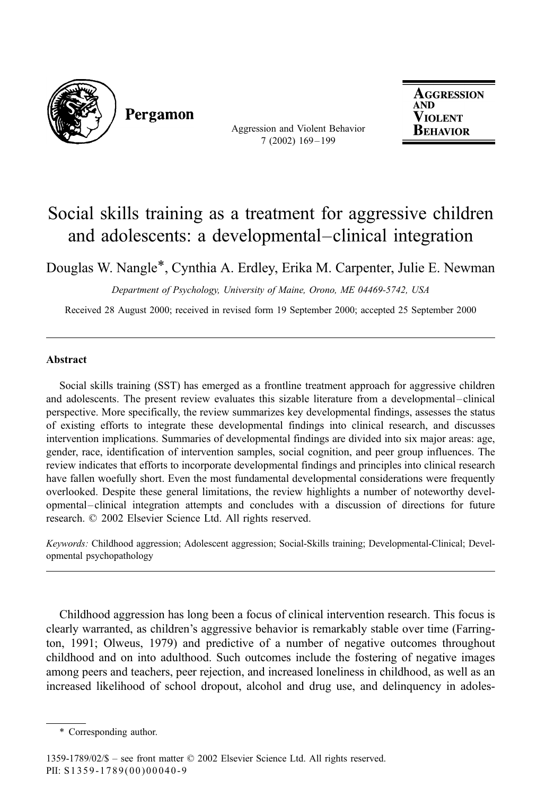

Pergamon

Aggression and Violent Behavior 7 (2002) 169 – 199

**AGGRESSION AND** Violent BEHAVIOR

# Social skills training as a treatment for aggressive children and adolescents: a developmental–clinical integration

Douglas W. Nangle\*, Cynthia A. Erdley, Erika M. Carpenter, Julie E. Newman

Department of Psychology, University of Maine, Orono, ME 04469-5742, USA

Received 28 August 2000; received in revised form 19 September 2000; accepted 25 September 2000

# Abstract

Social skills training (SST) has emerged as a frontline treatment approach for aggressive children and adolescents. The present review evaluates this sizable literature from a developmental –clinical perspective. More specifically, the review summarizes key developmental findings, assesses the status of existing efforts to integrate these developmental findings into clinical research, and discusses intervention implications. Summaries of developmental findings are divided into six major areas: age, gender, race, identification of intervention samples, social cognition, and peer group influences. The review indicates that efforts to incorporate developmental findings and principles into clinical research have fallen woefully short. Even the most fundamental developmental considerations were frequently overlooked. Despite these general limitations, the review highlights a number of noteworthy developmental –clinical integration attempts and concludes with a discussion of directions for future research.  $\oslash$  2002 Elsevier Science Ltd. All rights reserved.

Keywords: Childhood aggression; Adolescent aggression; Social-Skills training; Developmental-Clinical; Developmental psychopathology

Childhood aggression has long been a focus of clinical intervention research. This focus is clearly warranted, as children's aggressive behavior is remarkably stable over time (Farrington, 1991; Olweus, 1979) and predictive of a number of negative outcomes throughout childhood and on into adulthood. Such outcomes include the fostering of negative images among peers and teachers, peer rejection, and increased loneliness in childhood, as well as an increased likelihood of school dropout, alcohol and drug use, and delinquency in adoles-

<sup>\*</sup> Corresponding author.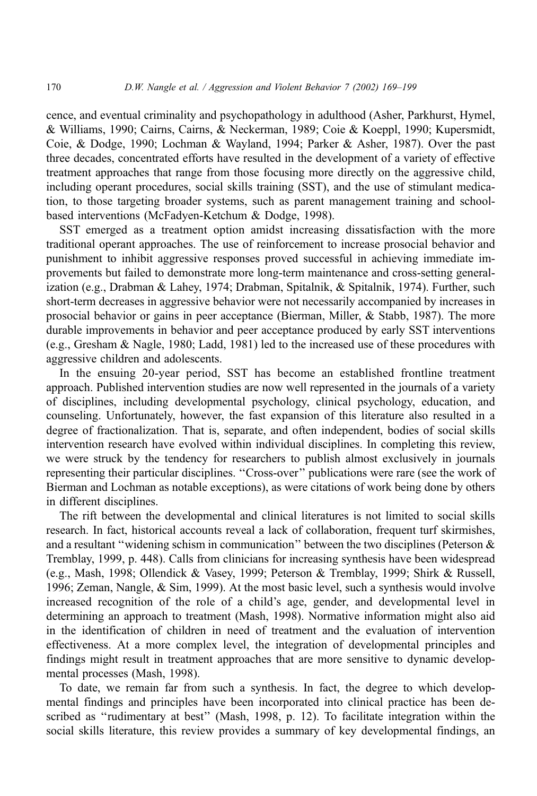cence, and eventual criminality and psychopathology in adulthood (Asher, Parkhurst, Hymel, & Williams, 1990; Cairns, Cairns, & Neckerman, 1989; Coie & Koeppl, 1990; Kupersmidt, Coie, & Dodge, 1990; Lochman & Wayland, 1994; Parker & Asher, 1987). Over the past three decades, concentrated efforts have resulted in the development of a variety of effective treatment approaches that range from those focusing more directly on the aggressive child, including operant procedures, social skills training (SST), and the use of stimulant medication, to those targeting broader systems, such as parent management training and schoolbased interventions (McFadyen-Ketchum & Dodge, 1998).

SST emerged as a treatment option amidst increasing dissatisfaction with the more traditional operant approaches. The use of reinforcement to increase prosocial behavior and punishment to inhibit aggressive responses proved successful in achieving immediate improvements but failed to demonstrate more long-term maintenance and cross-setting generalization (e.g., Drabman & Lahey, 1974; Drabman, Spitalnik, & Spitalnik, 1974). Further, such short-term decreases in aggressive behavior were not necessarily accompanied by increases in prosocial behavior or gains in peer acceptance (Bierman, Miller, & Stabb, 1987). The more durable improvements in behavior and peer acceptance produced by early SST interventions (e.g., Gresham & Nagle, 1980; Ladd, 1981) led to the increased use of these procedures with aggressive children and adolescents.

In the ensuing 20-year period, SST has become an established frontline treatment approach. Published intervention studies are now well represented in the journals of a variety of disciplines, including developmental psychology, clinical psychology, education, and counseling. Unfortunately, however, the fast expansion of this literature also resulted in a degree of fractionalization. That is, separate, and often independent, bodies of social skills intervention research have evolved within individual disciplines. In completing this review, we were struck by the tendency for researchers to publish almost exclusively in journals representing their particular disciplines. ''Cross-over'' publications were rare (see the work of Bierman and Lochman as notable exceptions), as were citations of work being done by others in different disciplines.

The rift between the developmental and clinical literatures is not limited to social skills research. In fact, historical accounts reveal a lack of collaboration, frequent turf skirmishes, and a resultant "widening schism in communication" between the two disciplines (Peterson  $\&$ Tremblay, 1999, p. 448). Calls from clinicians for increasing synthesis have been widespread (e.g., Mash, 1998; Ollendick & Vasey, 1999; Peterson & Tremblay, 1999; Shirk & Russell, 1996; Zeman, Nangle, & Sim, 1999). At the most basic level, such a synthesis would involve increased recognition of the role of a child's age, gender, and developmental level in determining an approach to treatment (Mash, 1998). Normative information might also aid in the identification of children in need of treatment and the evaluation of intervention effectiveness. At a more complex level, the integration of developmental principles and findings might result in treatment approaches that are more sensitive to dynamic developmental processes (Mash, 1998).

To date, we remain far from such a synthesis. In fact, the degree to which developmental findings and principles have been incorporated into clinical practice has been described as ''rudimentary at best'' (Mash, 1998, p. 12). To facilitate integration within the social skills literature, this review provides a summary of key developmental findings, an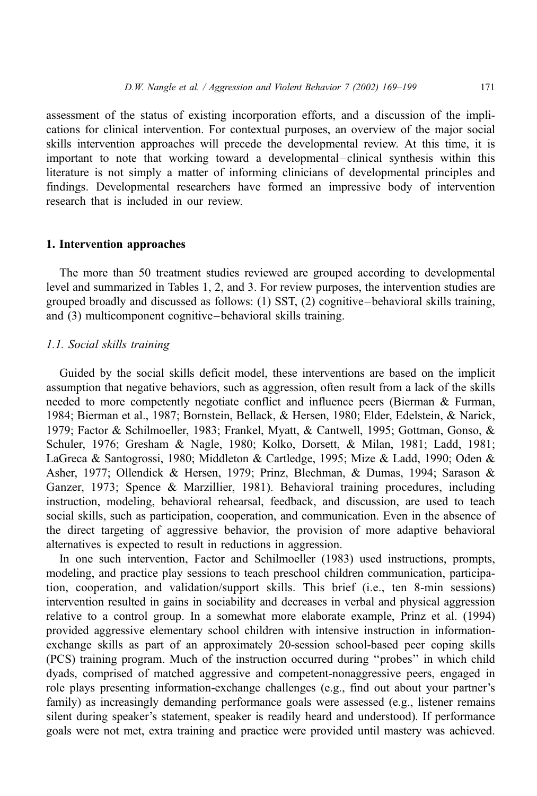assessment of the status of existing incorporation efforts, and a discussion of the implications for clinical intervention. For contextual purposes, an overview of the major social skills intervention approaches will precede the developmental review. At this time, it is important to note that working toward a developmental–clinical synthesis within this literature is not simply a matter of informing clinicians of developmental principles and findings. Developmental researchers have formed an impressive body of intervention research that is included in our review.

### 1. Intervention approaches

The more than 50 treatment studies reviewed are grouped according to developmental level and summarized in Tables 1, 2, and 3. For review purposes, the intervention studies are grouped broadly and discussed as follows: (1) SST, (2) cognitive–behavioral skills training, and (3) multicomponent cognitive–behavioral skills training.

#### 1.1. Social skills training

Guided by the social skills deficit model, these interventions are based on the implicit assumption that negative behaviors, such as aggression, often result from a lack of the skills needed to more competently negotiate conflict and influence peers (Bierman & Furman, 1984; Bierman et al., 1987; Bornstein, Bellack, & Hersen, 1980; Elder, Edelstein, & Narick, 1979; Factor & Schilmoeller, 1983; Frankel, Myatt, & Cantwell, 1995; Gottman, Gonso, & Schuler, 1976; Gresham & Nagle, 1980; Kolko, Dorsett, & Milan, 1981; Ladd, 1981; LaGreca & Santogrossi, 1980; Middleton & Cartledge, 1995; Mize & Ladd, 1990; Oden & Asher, 1977; Ollendick & Hersen, 1979; Prinz, Blechman, & Dumas, 1994; Sarason & Ganzer, 1973; Spence & Marzillier, 1981). Behavioral training procedures, including instruction, modeling, behavioral rehearsal, feedback, and discussion, are used to teach social skills, such as participation, cooperation, and communication. Even in the absence of the direct targeting of aggressive behavior, the provision of more adaptive behavioral alternatives is expected to result in reductions in aggression.

In one such intervention, Factor and Schilmoeller (1983) used instructions, prompts, modeling, and practice play sessions to teach preschool children communication, participation, cooperation, and validation/support skills. This brief (i.e., ten 8-min sessions) intervention resulted in gains in sociability and decreases in verbal and physical aggression relative to a control group. In a somewhat more elaborate example, Prinz et al. (1994) provided aggressive elementary school children with intensive instruction in informationexchange skills as part of an approximately 20-session school-based peer coping skills (PCS) training program. Much of the instruction occurred during ''probes'' in which child dyads, comprised of matched aggressive and competent-nonaggressive peers, engaged in role plays presenting information-exchange challenges (e.g., find out about your partner's family) as increasingly demanding performance goals were assessed (e.g., listener remains silent during speaker's statement, speaker is readily heard and understood). If performance goals were not met, extra training and practice were provided until mastery was achieved.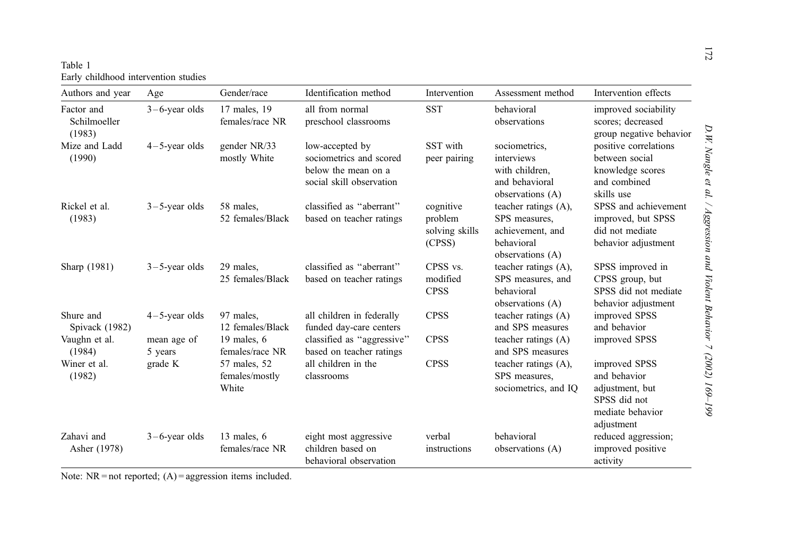| Table 1 |                                      |  |
|---------|--------------------------------------|--|
|         | Early childhood intervention studies |  |

| Authors and year                     | Age                    | Gender/race                             | Identification method                                                                         | Intervention                                     | Assessment method                                                                           | Intervention effects                                                                               |
|--------------------------------------|------------------------|-----------------------------------------|-----------------------------------------------------------------------------------------------|--------------------------------------------------|---------------------------------------------------------------------------------------------|----------------------------------------------------------------------------------------------------|
| Factor and<br>Schilmoeller<br>(1983) | $3-6$ -year olds       | 17 males, 19<br>females/race NR         | all from normal<br>preschool classrooms                                                       | <b>SST</b>                                       | behavioral<br>observations                                                                  | improved sociability<br>scores; decreased<br>group negative behavior                               |
| Mize and Ladd<br>(1990)              | $4-5$ -year olds       | gender NR/33<br>mostly White            | low-accepted by<br>sociometrics and scored<br>below the mean on a<br>social skill observation | SST with<br>peer pairing                         | sociometrics.<br>interviews<br>with children,<br>and behavioral<br>observations (A)         | positive correlations<br>between social<br>knowledge scores<br>and combined<br>skills use          |
| Rickel et al.<br>(1983)              | $3 - 5$ -year olds     | 58 males,<br>52 females/Black           | classified as "aberrant"<br>based on teacher ratings                                          | cognitive<br>problem<br>solving skills<br>(CPSS) | teacher ratings (A),<br>SPS measures,<br>achievement, and<br>behavioral<br>observations (A) | SPSS and achievement<br>improved, but SPSS<br>did not mediate<br>behavior adjustment               |
| Sharp (1981)                         | $3 - 5$ -year olds     | 29 males,<br>25 females/Black           | classified as "aberrant"<br>based on teacher ratings                                          | CPSS vs.<br>modified<br><b>CPSS</b>              | teacher ratings (A),<br>SPS measures, and<br>behavioral<br>observations (A)                 | SPSS improved in<br>CPSS group, but<br>SPSS did not mediate<br>behavior adjustment                 |
| Shure and<br>Spivack (1982)          | $4-5$ -year olds       | 97 males.<br>12 females/Black           | all children in federally<br>funded day-care centers                                          | <b>CPSS</b>                                      | teacher ratings (A)<br>and SPS measures                                                     | improved SPSS<br>and behavior                                                                      |
| Vaughn et al.<br>(1984)              | mean age of<br>5 years | 19 males, $6$<br>females/race NR        | classified as "aggressive"<br>based on teacher ratings                                        | <b>CPSS</b>                                      | teacher ratings (A)<br>and SPS measures                                                     | improved SPSS                                                                                      |
| Winer et al.<br>(1982)               | grade K                | 57 males, 52<br>females/mostly<br>White | all children in the<br>classrooms                                                             | <b>CPSS</b>                                      | teacher ratings (A),<br>SPS measures,<br>sociometrics, and IQ                               | improved SPSS<br>and behavior<br>adjustment, but<br>SPSS did not<br>mediate behavior<br>adjustment |
| Zahavi and<br>Asher (1978)           | $3-6$ -year olds       | 13 males, 6<br>females/race NR          | eight most aggressive<br>children based on<br>behavioral observation                          | verbal<br>instructions                           | behavioral<br>observations (A)                                                              | reduced aggression;<br>improved positive<br>activity                                               |

Note: NR <sup>=</sup> not reported; (A) <sup>=</sup> aggression items included.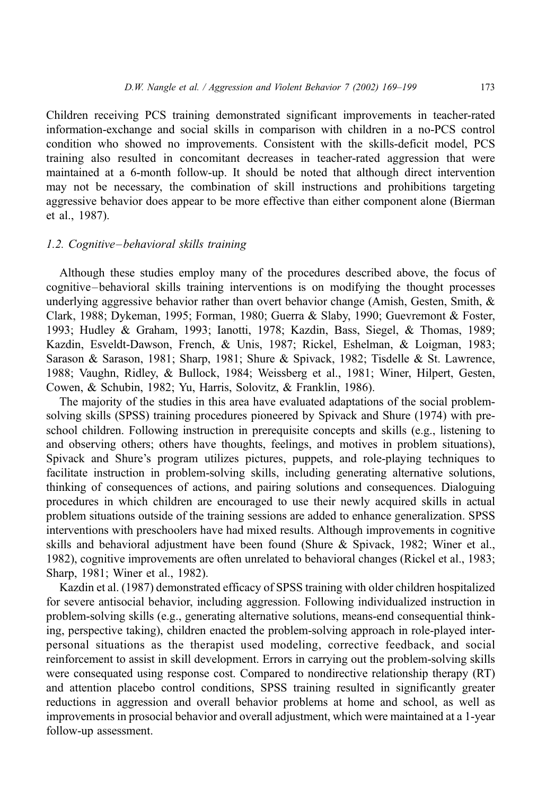Children receiving PCS training demonstrated significant improvements in teacher-rated information-exchange and social skills in comparison with children in a no-PCS control condition who showed no improvements. Consistent with the skills-deficit model, PCS training also resulted in concomitant decreases in teacher-rated aggression that were maintained at a 6-month follow-up. It should be noted that although direct intervention may not be necessary, the combination of skill instructions and prohibitions targeting aggressive behavior does appear to be more effective than either component alone (Bierman et al., 1987).

### 1.2. Cognitive–behavioral skills training

Although these studies employ many of the procedures described above, the focus of cognitive–behavioral skills training interventions is on modifying the thought processes underlying aggressive behavior rather than overt behavior change (Amish, Gesten, Smith,  $\&$ Clark, 1988; Dykeman, 1995; Forman, 1980; Guerra & Slaby, 1990; Guevremont & Foster, 1993; Hudley & Graham, 1993; Ianotti, 1978; Kazdin, Bass, Siegel, & Thomas, 1989; Kazdin, Esveldt-Dawson, French, & Unis, 1987; Rickel, Eshelman, & Loigman, 1983; Sarason & Sarason, 1981; Sharp, 1981; Shure & Spivack, 1982; Tisdelle & St. Lawrence, 1988; Vaughn, Ridley, & Bullock, 1984; Weissberg et al., 1981; Winer, Hilpert, Gesten, Cowen, & Schubin, 1982; Yu, Harris, Solovitz, & Franklin, 1986).

The majority of the studies in this area have evaluated adaptations of the social problemsolving skills (SPSS) training procedures pioneered by Spivack and Shure (1974) with preschool children. Following instruction in prerequisite concepts and skills (e.g., listening to and observing others; others have thoughts, feelings, and motives in problem situations), Spivack and Shure's program utilizes pictures, puppets, and role-playing techniques to facilitate instruction in problem-solving skills, including generating alternative solutions, thinking of consequences of actions, and pairing solutions and consequences. Dialoguing procedures in which children are encouraged to use their newly acquired skills in actual problem situations outside of the training sessions are added to enhance generalization. SPSS interventions with preschoolers have had mixed results. Although improvements in cognitive skills and behavioral adjustment have been found (Shure & Spivack, 1982; Winer et al., 1982), cognitive improvements are often unrelated to behavioral changes (Rickel et al., 1983; Sharp, 1981; Winer et al., 1982).

Kazdin et al. (1987) demonstrated efficacy of SPSS training with older children hospitalized for severe antisocial behavior, including aggression. Following individualized instruction in problem-solving skills (e.g., generating alternative solutions, means-end consequential thinking, perspective taking), children enacted the problem-solving approach in role-played interpersonal situations as the therapist used modeling, corrective feedback, and social reinforcement to assist in skill development. Errors in carrying out the problem-solving skills were consequated using response cost. Compared to nondirective relationship therapy (RT) and attention placebo control conditions, SPSS training resulted in significantly greater reductions in aggression and overall behavior problems at home and school, as well as improvements in prosocial behavior and overall adjustment, which were maintained at a 1-year follow-up assessment.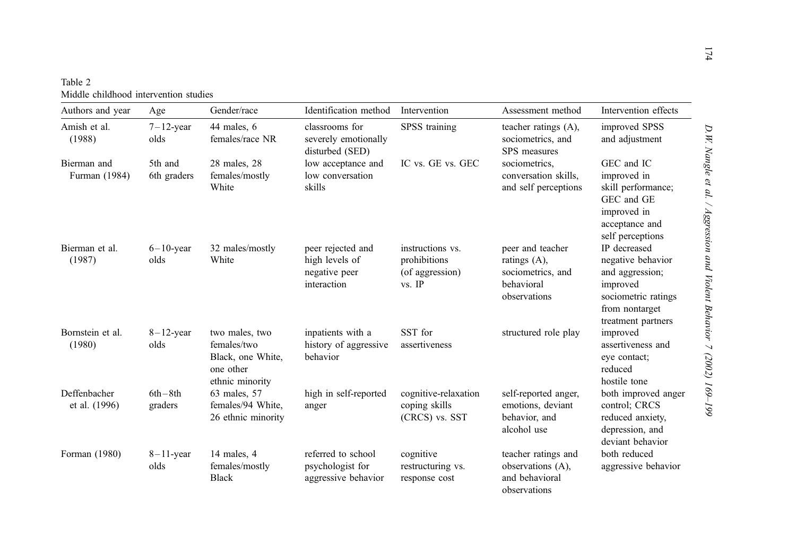| Table 2                               |
|---------------------------------------|
| Middle childhood intervention studies |

| Authors and year              | Age                    | Gender/race                                                                        | Identification method                                               | Intervention                                                    | Assessment method                                                                   | Intervention effects                                                                                                            |
|-------------------------------|------------------------|------------------------------------------------------------------------------------|---------------------------------------------------------------------|-----------------------------------------------------------------|-------------------------------------------------------------------------------------|---------------------------------------------------------------------------------------------------------------------------------|
| Amish et al.<br>(1988)        | $7-12$ -year<br>olds   | 44 males, 6<br>females/race NR                                                     | classrooms for<br>severely emotionally<br>disturbed (SED)           | SPSS training                                                   | teacher ratings (A),<br>sociometrics, and<br>SPS measures                           | improved SPSS<br>and adjustment                                                                                                 |
| Bierman and<br>Furman (1984)  | 5th and<br>6th graders | 28 males, 28<br>females/mostly<br>White                                            | low acceptance and<br>low conversation<br>skills                    | IC vs. GE vs. GEC                                               | sociometrics,<br>conversation skills,<br>and self perceptions                       | GEC and IC<br>improved in<br>skill performance;<br>GEC and GE<br>improved in<br>acceptance and<br>self perceptions              |
| Bierman et al.<br>(1987)      | $6-10$ -year<br>olds   | 32 males/mostly<br>White                                                           | peer rejected and<br>high levels of<br>negative peer<br>interaction | instructions vs.<br>prohibitions<br>(of aggression)<br>$vs.$ IP | peer and teacher<br>ratings (A),<br>sociometrics, and<br>behavioral<br>observations | IP decreased<br>negative behavior<br>and aggression;<br>improved<br>sociometric ratings<br>from nontarget<br>treatment partners |
| Bornstein et al.<br>(1980)    | $8-12$ -year<br>olds   | two males, two<br>females/two<br>Black, one White,<br>one other<br>ethnic minority | inpatients with a<br>history of aggressive<br>behavior              | SST for<br>assertiveness                                        | structured role play                                                                | improved<br>assertiveness and<br>eye contact;<br>reduced<br>hostile tone                                                        |
| Deffenbacher<br>et al. (1996) | $6th-8th$<br>graders   | 63 males, 57<br>females/94 White,<br>26 ethnic minority                            | high in self-reported<br>anger                                      | cognitive-relaxation<br>coping skills<br>(CRCS) vs. SST         | self-reported anger,<br>emotions, deviant<br>behavior, and<br>alcohol use           | both improved anger<br>control; CRCS<br>reduced anxiety,<br>depression, and<br>deviant behavior                                 |
| Forman (1980)                 | $8-11$ -year<br>olds   | 14 males, 4<br>females/mostly<br><b>Black</b>                                      | referred to school<br>psychologist for<br>aggressive behavior       | cognitive<br>restructuring vs.<br>response cost                 | teacher ratings and<br>observations (A),<br>and behavioral<br>observations          | both reduced<br>aggressive behavior                                                                                             |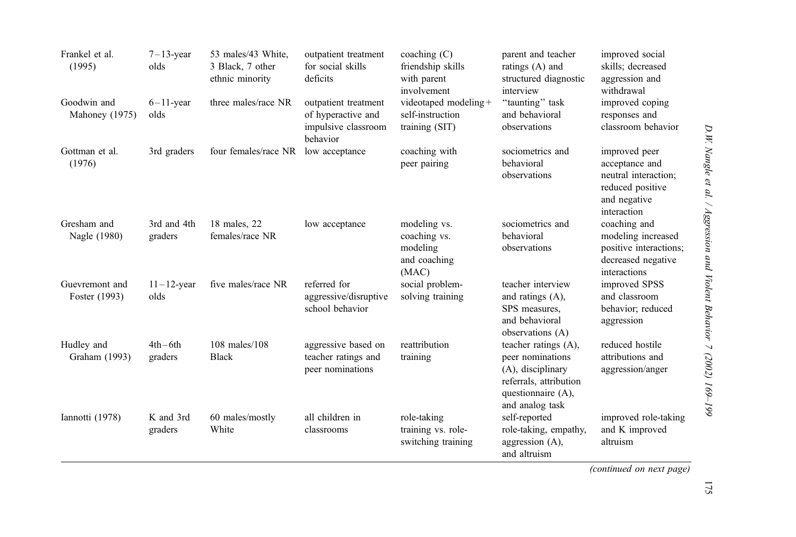| Frankel et al.<br>(1995)        | $7-13$ -year<br>olds   | 53 males/43 White,<br>3 Black, 7 other<br>ethnic minority | outpatient treatment<br>for social skills<br>deficits                         | coaching $(C)$<br>friendship skills<br>with parent<br>involvement | parent and teacher<br>ratings (A) and<br>structured diagnostic<br>interview                                                      | improved social<br>skills; decreased<br>aggression and<br>withdrawal                                       |
|---------------------------------|------------------------|-----------------------------------------------------------|-------------------------------------------------------------------------------|-------------------------------------------------------------------|----------------------------------------------------------------------------------------------------------------------------------|------------------------------------------------------------------------------------------------------------|
| Goodwin and<br>Mahoney (1975)   | $6-11$ -year<br>olds   | three males/race NR                                       | outpatient treatment<br>of hyperactive and<br>impulsive classroom<br>behavior | videotaped modeling +<br>self-instruction<br>training (SIT)       | "taunting" task<br>and behavioral<br>observations                                                                                | improved coping<br>responses and<br>classroom behavior                                                     |
| Gottman et al.<br>(1976)        | 3rd graders            | four females/race NR                                      | low acceptance                                                                | coaching with<br>peer pairing                                     | sociometrics and<br>behavioral<br>observations                                                                                   | improved peer<br>acceptance and<br>neutral interaction;<br>reduced positive<br>and negative<br>interaction |
| Gresham and<br>Nagle (1980)     | 3rd and 4th<br>graders | 18 males, 22<br>females/race NR                           | low acceptance                                                                | modeling vs.<br>coaching vs.<br>modeling<br>and coaching<br>(MAC) | sociometrics and<br>behavioral<br>observations                                                                                   | coaching and<br>modeling increased<br>positive interactions;<br>decreased negative<br>interactions         |
| Guevremont and<br>Foster (1993) | $11-12$ -year<br>olds  | five males/race NR                                        | referred for<br>aggressive/disruptive<br>school behavior                      | social problem-<br>solving training                               | teacher interview<br>and ratings (A),<br>SPS measures.<br>and behavioral<br>observations (A)                                     | improved SPSS<br>and classroom<br>behavior; reduced<br>aggression                                          |
| Hudley and<br>Graham (1993)     | $4th$ –6th<br>graders  | $108$ males/ $108$<br><b>Black</b>                        | aggressive based on<br>teacher ratings and<br>peer nominations                | reattribution<br>training                                         | teacher ratings (A),<br>peer nominations<br>(A), disciplinary<br>referrals, attribution<br>questionnaire (A),<br>and analog task | reduced hostile<br>attributions and<br>aggression/anger                                                    |
| Iannotti (1978)                 | K and 3rd<br>graders   | 60 males/mostly<br>White                                  | all children in<br>classrooms                                                 | role-taking<br>training vs. role-<br>switching training           | self-reported<br>role-taking, empathy,<br>aggression $(A)$ ,<br>and altruism                                                     | improved role-taking<br>and K improved<br>altruism                                                         |

(continued on next page)

# 175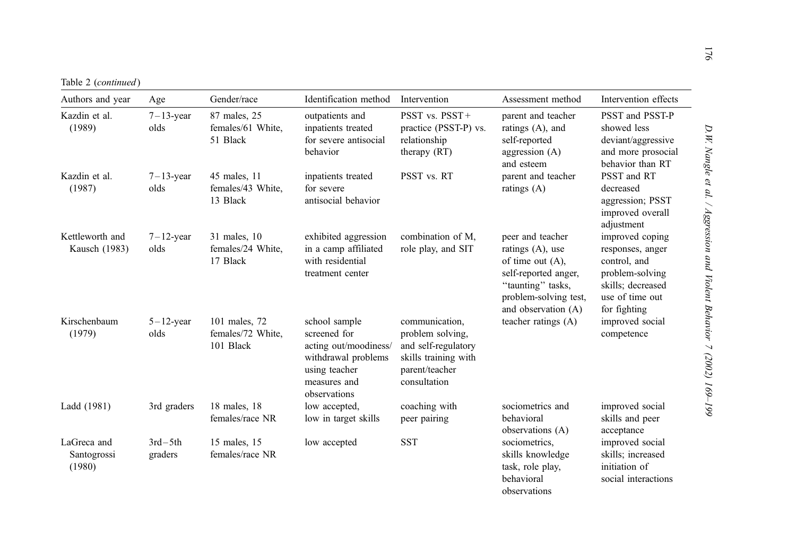Table 2 (continued)

| Authors and year                     | Age                    | Gender/race                                     | Identification method                                                                                                          | Intervention                                                                                                        | Assessment method                                                                                                                                           | Intervention effects                                                                                                           |
|--------------------------------------|------------------------|-------------------------------------------------|--------------------------------------------------------------------------------------------------------------------------------|---------------------------------------------------------------------------------------------------------------------|-------------------------------------------------------------------------------------------------------------------------------------------------------------|--------------------------------------------------------------------------------------------------------------------------------|
| Kazdin et al.<br>(1989)              | $7-13$ -year<br>olds   | 87 males, 25<br>females/61 White,<br>51 Black   | outpatients and<br>inpatients treated<br>for severe antisocial<br>behavior                                                     | PSST vs. $PSST +$<br>practice (PSST-P) vs.<br>relationship<br>therapy (RT)                                          | parent and teacher<br>ratings (A), and<br>self-reported<br>aggression $(A)$<br>and esteem                                                                   | PSST and PSST-P<br>showed less<br>deviant/aggressive<br>and more prosocial<br>behavior than RT                                 |
| Kazdin et al.<br>(1987)              | $7-13$ -year<br>olds   | 45 males, 11<br>females/43 White,<br>13 Black   | inpatients treated<br>for severe<br>antisocial behavior                                                                        | PSST vs. RT                                                                                                         | parent and teacher<br>ratings (A)                                                                                                                           | PSST and RT<br>decreased<br>aggression; PSST<br>improved overall<br>adjustment                                                 |
| Kettleworth and<br>Kausch (1983)     | $7-12$ -year<br>olds   | 31 males, 10<br>females/24 White,<br>17 Black   | exhibited aggression<br>in a camp affiliated<br>with residential<br>treatment center                                           | combination of M,<br>role play, and SIT                                                                             | peer and teacher<br>ratings $(A)$ , use<br>of time out $(A)$ ,<br>self-reported anger,<br>"taunting" tasks,<br>problem-solving test,<br>and observation (A) | improved coping<br>responses, anger<br>control, and<br>problem-solving<br>skills; decreased<br>use of time out<br>for fighting |
| Kirschenbaum<br>(1979)               | $5 - 12$ -year<br>olds | 101 males, 72<br>females/72 White,<br>101 Black | school sample<br>screened for<br>acting out/moodiness/<br>withdrawal problems<br>using teacher<br>measures and<br>observations | communication,<br>problem solving,<br>and self-regulatory<br>skills training with<br>parent/teacher<br>consultation | teacher ratings (A)                                                                                                                                         | improved social<br>competence                                                                                                  |
| Ladd (1981)                          | 3rd graders            | 18 males, 18<br>females/race NR                 | low accepted,<br>low in target skills                                                                                          | coaching with<br>peer pairing                                                                                       | sociometrics and<br>behavioral<br>observations (A)                                                                                                          | improved social<br>skills and peer<br>acceptance                                                                               |
| LaGreca and<br>Santogrossi<br>(1980) | $3rd - 5th$<br>graders | 15 males, 15<br>females/race NR                 | low accepted                                                                                                                   | <b>SST</b>                                                                                                          | sociometrics,<br>skills knowledge<br>task, role play,<br>behavioral<br>observations                                                                         | improved social<br>skills; increased<br>initiation of<br>social interactions                                                   |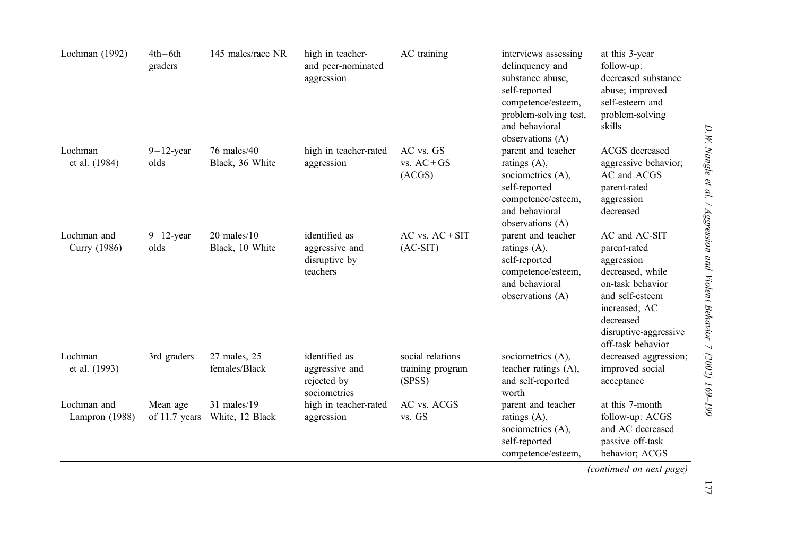| Lochman (1992)                | $4th-6th$<br>graders        | 145 males/race NR                   | high in teacher-<br>and peer-nominated<br>aggression           | AC training                                    | interviews assessing<br>delinquency and<br>substance abuse.<br>self-reported<br>competence/esteem,<br>problem-solving test,<br>and behavioral<br>observations (A) | at this 3-year<br>follow-up:<br>decreased substance<br>abuse; improved<br>self-esteem and<br>problem-solving<br>skills                                                             |
|-------------------------------|-----------------------------|-------------------------------------|----------------------------------------------------------------|------------------------------------------------|-------------------------------------------------------------------------------------------------------------------------------------------------------------------|------------------------------------------------------------------------------------------------------------------------------------------------------------------------------------|
| Lochman<br>et al. (1984)      | $9-12$ -year<br>olds        | 76 males/40<br>Black, 36 White      | high in teacher-rated<br>aggression                            | AC vs. GS<br>$vs. AC+GS$<br>(ACGS)             | parent and teacher<br>ratings $(A)$ ,<br>sociometrics (A),<br>self-reported<br>competence/esteem,<br>and behavioral<br>observations (A)                           | ACGS decreased<br>aggressive behavior;<br>AC and ACGS<br>parent-rated<br>aggression<br>decreased                                                                                   |
| Lochman and<br>Curry (1986)   | $9-12$ -year<br>olds        | $20$ males/ $10$<br>Black, 10 White | identified as<br>aggressive and<br>disruptive by<br>teachers   | $AC$ vs. $AC + SIT$<br>$(AC-SIT)$              | parent and teacher<br>ratings $(A)$ ,<br>self-reported<br>competence/esteem,<br>and behavioral<br>observations (A)                                                | AC and AC-SIT<br>parent-rated<br>aggression<br>decreased, while<br>on-task behavior<br>and self-esteem<br>increased; AC<br>decreased<br>disruptive-aggressive<br>off-task behavior |
| Lochman<br>et al. (1993)      | 3rd graders                 | 27 males, 25<br>females/Black       | identified as<br>aggressive and<br>rejected by<br>sociometrics | social relations<br>training program<br>(SPSS) | sociometrics (A),<br>teacher ratings (A),<br>and self-reported<br>worth                                                                                           | decreased aggression;<br>improved social<br>acceptance                                                                                                                             |
| Lochman and<br>Lampron (1988) | Mean age<br>of $11.7$ years | 31 males/19<br>White, 12 Black      | high in teacher-rated<br>aggression                            | AC vs. ACGS<br>vs. GS                          | parent and teacher<br>ratings (A),<br>sociometrics (A),<br>self-reported<br>competence/esteem,                                                                    | at this 7-month<br>follow-up: ACGS<br>and AC decreased<br>passive off-task<br>behavior; ACGS                                                                                       |

(continued on next page)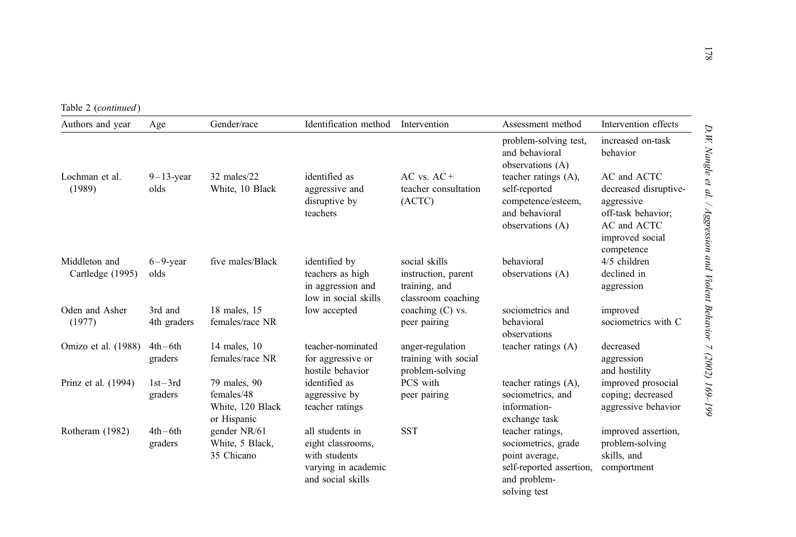Table 2 (continued)

| Authors and year                  | Age                    | Gender/race                                                   | Identification method                                                                             | Intervention                                                                | Assessment method                                                                                                     | Intervention effects                                                                                                     |
|-----------------------------------|------------------------|---------------------------------------------------------------|---------------------------------------------------------------------------------------------------|-----------------------------------------------------------------------------|-----------------------------------------------------------------------------------------------------------------------|--------------------------------------------------------------------------------------------------------------------------|
|                                   |                        |                                                               |                                                                                                   |                                                                             | problem-solving test,<br>and behavioral<br>observations (A)                                                           | increased on-task<br>behavior                                                                                            |
| Lochman et al.<br>(1989)          | $9-13$ -year<br>olds   | 32 males/22<br>White, 10 Black                                | identified as<br>aggressive and<br>disruptive by<br>teachers                                      | $AC$ vs. $AC+$<br>teacher consultation<br>(ACTC)                            | teacher ratings (A),<br>self-reported<br>competence/esteem,<br>and behavioral<br>observations (A)                     | AC and ACTC<br>decreased disruptive-<br>aggressive<br>off-task behavior;<br>AC and ACTC<br>improved social<br>competence |
| Middleton and<br>Cartledge (1995) | $6-9$ -year<br>olds    | five males/Black                                              | identified by<br>teachers as high<br>in aggression and<br>low in social skills                    | social skills<br>instruction, parent<br>training, and<br>classroom coaching | behavioral<br>observations (A)                                                                                        | 4/5 children<br>declined in<br>aggression                                                                                |
| Oden and Asher<br>(1977)          | 3rd and<br>4th graders | 18 males, 15<br>females/race NR                               | low accepted                                                                                      | coaching $(C)$ vs.<br>peer pairing                                          | sociometrics and<br>behavioral<br>observations                                                                        | improved<br>sociometrics with C                                                                                          |
| Omizo et al. (1988)               | $4th-6th$<br>graders   | 14 males, 10<br>females/race NR                               | teacher-nominated<br>for aggressive or<br>hostile behavior                                        | anger-regulation<br>training with social<br>problem-solving                 | teacher ratings (A)                                                                                                   | decreased<br>aggression<br>and hostility                                                                                 |
| Prinz et al. (1994)               | $1st-3rd$<br>graders   | 79 males, 90<br>females/48<br>White, 120 Black<br>or Hispanic | identified as<br>aggressive by<br>teacher ratings                                                 | PCS with<br>peer pairing                                                    | teacher ratings (A),<br>sociometrics, and<br>information-<br>exchange task                                            | improved prosocial<br>coping; decreased<br>aggressive behavior                                                           |
| Rotheram (1982)                   | $4th-6th$<br>graders   | gender NR/61<br>White, 5 Black,<br>35 Chicano                 | all students in<br>eight classrooms,<br>with students<br>varying in academic<br>and social skills | <b>SST</b>                                                                  | teacher ratings,<br>sociometrics, grade<br>point average,<br>self-reported assertion,<br>and problem-<br>solving test | improved assertion,<br>problem-solving<br>skills, and<br>comportment                                                     |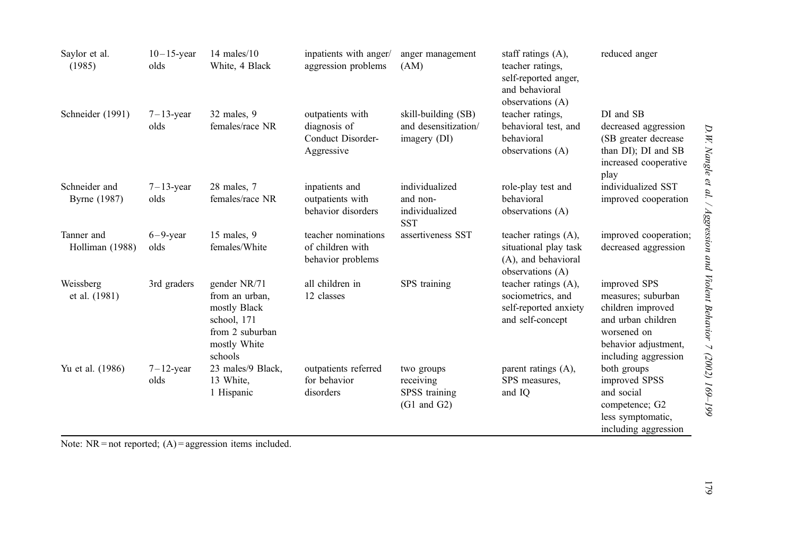| Saylor et al.<br>(1985)       | $10-15$ -year<br>olds | $14$ males/ $10$<br>White, 4 Black                                                                          | inpatients with anger/<br>aggression problems                       | anger management<br>(AM)                                           | staff ratings $(A)$ ,<br>teacher ratings.<br>self-reported anger,<br>and behavioral<br>observations (A) | reduced anger                                                                                                                                |
|-------------------------------|-----------------------|-------------------------------------------------------------------------------------------------------------|---------------------------------------------------------------------|--------------------------------------------------------------------|---------------------------------------------------------------------------------------------------------|----------------------------------------------------------------------------------------------------------------------------------------------|
| Schneider (1991)              | $7-13$ -year<br>olds  | 32 males, 9<br>females/race NR                                                                              | outpatients with<br>diagnosis of<br>Conduct Disorder-<br>Aggressive | skill-building (SB)<br>and desensitization/<br>imagery (DI)        | teacher ratings.<br>behavioral test, and<br>behavioral<br>observations (A)                              | DI and SB<br>decreased aggression<br>(SB greater decrease)<br>than DI); DI and SB<br>increased cooperative<br>play                           |
| Schneider and<br>Byrne (1987) | $7-13$ -year<br>olds  | 28 males, 7<br>females/race NR                                                                              | inpatients and<br>outpatients with<br>behavior disorders            | individualized<br>and non-<br>individualized<br><b>SST</b>         | role-play test and<br>behavioral<br>observations (A)                                                    | individualized SST<br>improved cooperation                                                                                                   |
| Tanner and<br>Holliman (1988) | $6-9$ -year<br>olds   | 15 males, 9<br>females/White                                                                                | teacher nominations<br>of children with<br>behavior problems        | assertiveness SST                                                  | teacher ratings (A),<br>situational play task<br>(A), and behavioral<br>observations (A)                | improved cooperation;<br>decreased aggression                                                                                                |
| Weissberg<br>et al. (1981)    | 3rd graders           | gender NR/71<br>from an urban.<br>mostly Black<br>school, 171<br>from 2 suburban<br>mostly White<br>schools | all children in<br>12 classes                                       | SPS training                                                       | teacher ratings (A),<br>sociometrics, and<br>self-reported anxiety<br>and self-concept                  | improved SPS<br>measures; suburban<br>children improved<br>and urban children<br>worsened on<br>behavior adjustment,<br>including aggression |
| Yu et al. (1986)              | $7-12$ -year<br>olds  | 23 males/9 Black,<br>13 White,<br>1 Hispanic                                                                | outpatients referred<br>for behavior<br>disorders                   | two groups<br>receiving<br>SPSS training<br>$(G1 \text{ and } G2)$ | parent ratings (A),<br>SPS measures.<br>and IQ                                                          | both groups<br>improved SPSS<br>and social<br>competence; G2<br>less symptomatic,<br>including aggression                                    |

Note:  $NR = not reported$ ;  $(A) =$  aggression items included.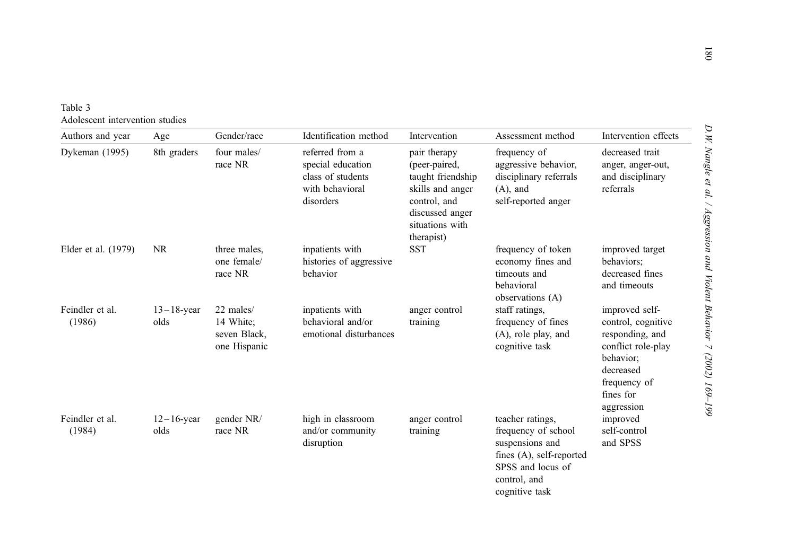| Table 3 |                                 |  |
|---------|---------------------------------|--|
|         | Adolescent intervention studies |  |

| Authors and year          | Age                   | Gender/race                                            | Identification method                                                                     | Intervention                                                                                                                               | Assessment method                                                                                                                             | Intervention effects                                                                                                                               |
|---------------------------|-----------------------|--------------------------------------------------------|-------------------------------------------------------------------------------------------|--------------------------------------------------------------------------------------------------------------------------------------------|-----------------------------------------------------------------------------------------------------------------------------------------------|----------------------------------------------------------------------------------------------------------------------------------------------------|
| Dykeman (1995)            | 8th graders           | four males/<br>race NR                                 | referred from a<br>special education<br>class of students<br>with behavioral<br>disorders | pair therapy<br>(peer-paired,<br>taught friendship<br>skills and anger<br>control, and<br>discussed anger<br>situations with<br>therapist) | frequency of<br>aggressive behavior,<br>disciplinary referrals<br>$(A)$ , and<br>self-reported anger                                          | decreased trait<br>anger, anger-out,<br>and disciplinary<br>referrals                                                                              |
| Elder et al. (1979)       | <b>NR</b>             | three males,<br>one female/<br>race NR                 | inpatients with<br>histories of aggressive<br>behavior                                    | <b>SST</b>                                                                                                                                 | frequency of token<br>economy fines and<br>timeouts and<br>behavioral<br>observations (A)                                                     | improved target<br>behaviors;<br>decreased fines<br>and timeouts                                                                                   |
| Feindler et al.<br>(1986) | $13-18$ -year<br>olds | 22 males/<br>14 White:<br>seven Black,<br>one Hispanic | inpatients with<br>behavioral and/or<br>emotional disturbances                            | anger control<br>training                                                                                                                  | staff ratings,<br>frequency of fines<br>$(A)$ , role play, and<br>cognitive task                                                              | improved self-<br>control, cognitive<br>responding, and<br>conflict role-play<br>behavior;<br>decreased<br>frequency of<br>fines for<br>aggression |
| Feindler et al.<br>(1984) | $12-16$ -year<br>olds | gender NR/<br>race NR                                  | high in classroom<br>and/or community<br>disruption                                       | anger control<br>training                                                                                                                  | teacher ratings,<br>frequency of school<br>suspensions and<br>fines (A), self-reported<br>SPSS and locus of<br>control, and<br>cognitive task | improved<br>self-control<br>and SPSS                                                                                                               |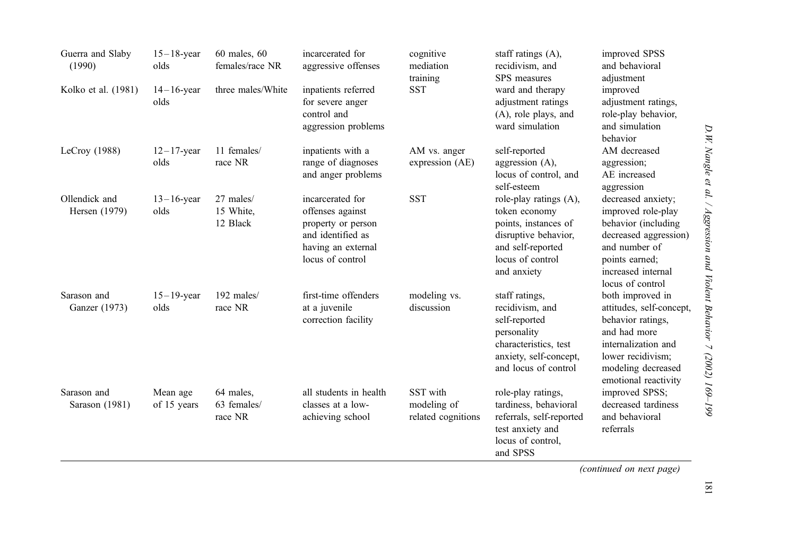| Guerra and Slaby<br>(1990)     | $15-18$ -year<br>olds   | $60$ males, $60$<br>females/race NR | incarcerated for<br>aggressive offenses                                                                                   | cognitive<br>mediation<br>training            | staff ratings $(A)$ ,<br>recidivism, and<br>SPS measures                                                                                        | improved SPSS<br>and behavioral<br>adjustment                                                                                                                               |
|--------------------------------|-------------------------|-------------------------------------|---------------------------------------------------------------------------------------------------------------------------|-----------------------------------------------|-------------------------------------------------------------------------------------------------------------------------------------------------|-----------------------------------------------------------------------------------------------------------------------------------------------------------------------------|
| Kolko et al. (1981)            | $14-16$ -year<br>olds   | three males/White                   | inpatients referred<br>for severe anger<br>control and<br>aggression problems                                             | <b>SST</b>                                    | ward and therapy<br>adjustment ratings<br>(A), role plays, and<br>ward simulation                                                               | improved<br>adjustment ratings,<br>role-play behavior,<br>and simulation<br>behavior                                                                                        |
| LeCroy $(1988)$                | $12-17$ -year<br>olds   | 11 females/<br>race NR              | inpatients with a<br>range of diagnoses<br>and anger problems                                                             | AM vs. anger<br>expression (AE)               | self-reported<br>aggression $(A)$ ,<br>locus of control, and<br>self-esteem                                                                     | AM decreased<br>aggression;<br>AE increased<br>aggression                                                                                                                   |
| Ollendick and<br>Hersen (1979) | $13 - 16$ -year<br>olds | 27 males/<br>15 White,<br>12 Black  | incarcerated for<br>offenses against<br>property or person<br>and identified as<br>having an external<br>locus of control | <b>SST</b>                                    | role-play ratings (A),<br>token economy<br>points, instances of<br>disruptive behavior,<br>and self-reported<br>locus of control<br>and anxiety | decreased anxiety;<br>improved role-play<br>behavior (including<br>decreased aggression)<br>and number of<br>points earned;<br>increased internal<br>locus of control       |
| Sarason and<br>Ganzer (1973)   | $15 - 19$ -year<br>olds | 192 males/<br>race NR               | first-time offenders<br>at a juvenile<br>correction facility                                                              | modeling vs.<br>discussion                    | staff ratings,<br>recidivism, and<br>self-reported<br>personality<br>characteristics, test<br>anxiety, self-concept,<br>and locus of control    | both improved in<br>attitudes, self-concept,<br>behavior ratings,<br>and had more<br>internalization and<br>lower recidivism;<br>modeling decreased<br>emotional reactivity |
| Sarason and<br>Sarason (1981)  | Mean age<br>of 15 years | 64 males,<br>63 females/<br>race NR | all students in health<br>classes at a low-<br>achieving school                                                           | SST with<br>modeling of<br>related cognitions | role-play ratings,<br>tardiness, behavioral<br>referrals, self-reported<br>test anxiety and<br>locus of control,<br>and SPSS                    | improved SPSS;<br>decreased tardiness<br>and behavioral<br>referrals                                                                                                        |

D. W. Nangle et al. / Aggression and Violent Behavior 7 (2002) 169-199 D.W. Nangle et al. / Aggression and Violent Behavior 7 (2002) 169–199

(continued on next page)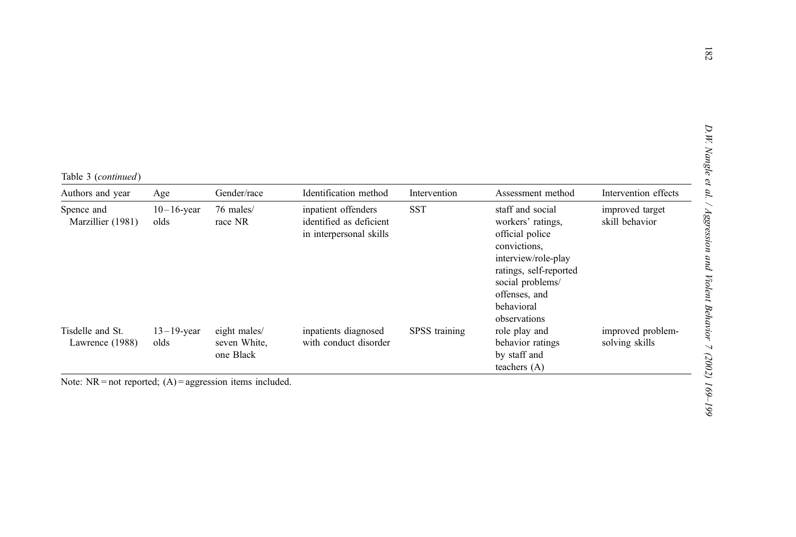|  |  | Table 3 (continued) |  |
|--|--|---------------------|--|
|--|--|---------------------|--|

| Authors and year                    | Age                   | Gender/race                               | Identification method                                                     | Intervention  | Assessment method                                                                                                                                                                            | Intervention effects                |
|-------------------------------------|-----------------------|-------------------------------------------|---------------------------------------------------------------------------|---------------|----------------------------------------------------------------------------------------------------------------------------------------------------------------------------------------------|-------------------------------------|
| Spence and<br>Marzillier (1981)     | $10-16$ -year<br>olds | 76 males/<br>race NR                      | inpatient offenders<br>identified as deficient<br>in interpersonal skills | <b>SST</b>    | staff and social<br>workers' ratings,<br>official police<br>convictions,<br>interview/role-play<br>ratings, self-reported<br>social problems/<br>offenses, and<br>behavioral<br>observations | improved target<br>skill behavior   |
| Tisdelle and St.<br>Lawrence (1988) | $13-19$ -year<br>olds | eight males/<br>seven White,<br>one Black | inpatients diagnosed<br>with conduct disorder                             | SPSS training | role play and<br>behavior ratings<br>by staff and<br>teachers $(A)$                                                                                                                          | improved problem-<br>solving skills |

Note:  $NR = not reported$ ;  $(A) =$  aggression items included.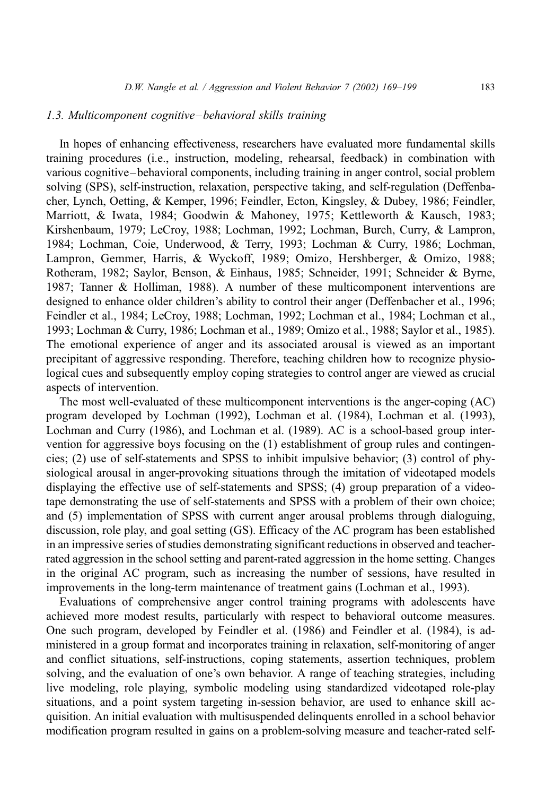#### 1.3. Multicomponent cognitive–behavioral skills training

In hopes of enhancing effectiveness, researchers have evaluated more fundamental skills training procedures (i.e., instruction, modeling, rehearsal, feedback) in combination with various cognitive–behavioral components, including training in anger control, social problem solving (SPS), self-instruction, relaxation, perspective taking, and self-regulation (Deffenbacher, Lynch, Oetting, & Kemper, 1996; Feindler, Ecton, Kingsley, & Dubey, 1986; Feindler, Marriott, & Iwata, 1984; Goodwin & Mahoney, 1975; Kettleworth & Kausch, 1983; Kirshenbaum, 1979; LeCroy, 1988; Lochman, 1992; Lochman, Burch, Curry, & Lampron, 1984; Lochman, Coie, Underwood, & Terry, 1993; Lochman & Curry, 1986; Lochman, Lampron, Gemmer, Harris, & Wyckoff, 1989; Omizo, Hershberger, & Omizo, 1988; Rotheram, 1982; Saylor, Benson, & Einhaus, 1985; Schneider, 1991; Schneider & Byrne, 1987; Tanner & Holliman, 1988). A number of these multicomponent interventions are designed to enhance older children's ability to control their anger (Deffenbacher et al., 1996; Feindler et al., 1984; LeCroy, 1988; Lochman, 1992; Lochman et al., 1984; Lochman et al., 1993; Lochman & Curry, 1986; Lochman et al., 1989; Omizo et al., 1988; Saylor et al., 1985). The emotional experience of anger and its associated arousal is viewed as an important precipitant of aggressive responding. Therefore, teaching children how to recognize physiological cues and subsequently employ coping strategies to control anger are viewed as crucial aspects of intervention.

The most well-evaluated of these multicomponent interventions is the anger-coping (AC) program developed by Lochman (1992), Lochman et al. (1984), Lochman et al. (1993), Lochman and Curry (1986), and Lochman et al. (1989). AC is a school-based group intervention for aggressive boys focusing on the (1) establishment of group rules and contingencies; (2) use of self-statements and SPSS to inhibit impulsive behavior; (3) control of physiological arousal in anger-provoking situations through the imitation of videotaped models displaying the effective use of self-statements and SPSS; (4) group preparation of a videotape demonstrating the use of self-statements and SPSS with a problem of their own choice; and (5) implementation of SPSS with current anger arousal problems through dialoguing, discussion, role play, and goal setting (GS). Efficacy of the AC program has been established in an impressive series of studies demonstrating significant reductions in observed and teacherrated aggression in the school setting and parent-rated aggression in the home setting. Changes in the original AC program, such as increasing the number of sessions, have resulted in improvements in the long-term maintenance of treatment gains (Lochman et al., 1993).

Evaluations of comprehensive anger control training programs with adolescents have achieved more modest results, particularly with respect to behavioral outcome measures. One such program, developed by Feindler et al. (1986) and Feindler et al. (1984), is administered in a group format and incorporates training in relaxation, self-monitoring of anger and conflict situations, self-instructions, coping statements, assertion techniques, problem solving, and the evaluation of one's own behavior. A range of teaching strategies, including live modeling, role playing, symbolic modeling using standardized videotaped role-play situations, and a point system targeting in-session behavior, are used to enhance skill acquisition. An initial evaluation with multisuspended delinquents enrolled in a school behavior modification program resulted in gains on a problem-solving measure and teacher-rated self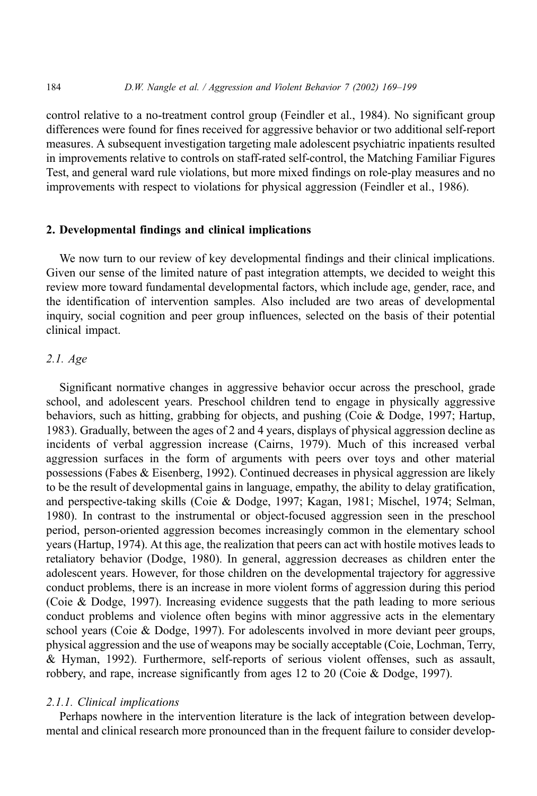control relative to a no-treatment control group (Feindler et al., 1984). No significant group differences were found for fines received for aggressive behavior or two additional self-report measures. A subsequent investigation targeting male adolescent psychiatric inpatients resulted in improvements relative to controls on staff-rated self-control, the Matching Familiar Figures Test, and general ward rule violations, but more mixed findings on role-play measures and no improvements with respect to violations for physical aggression (Feindler et al., 1986).

## 2. Developmental findings and clinical implications

We now turn to our review of key developmental findings and their clinical implications. Given our sense of the limited nature of past integration attempts, we decided to weight this review more toward fundamental developmental factors, which include age, gender, race, and the identification of intervention samples. Also included are two areas of developmental inquiry, social cognition and peer group influences, selected on the basis of their potential clinical impact.

## 2.1. Age

Significant normative changes in aggressive behavior occur across the preschool, grade school, and adolescent years. Preschool children tend to engage in physically aggressive behaviors, such as hitting, grabbing for objects, and pushing (Coie & Dodge, 1997; Hartup, 1983). Gradually, between the ages of 2 and 4 years, displays of physical aggression decline as incidents of verbal aggression increase (Cairns, 1979). Much of this increased verbal aggression surfaces in the form of arguments with peers over toys and other material possessions (Fabes & Eisenberg, 1992). Continued decreases in physical aggression are likely to be the result of developmental gains in language, empathy, the ability to delay gratification, and perspective-taking skills (Coie & Dodge, 1997; Kagan, 1981; Mischel, 1974; Selman, 1980). In contrast to the instrumental or object-focused aggression seen in the preschool period, person-oriented aggression becomes increasingly common in the elementary school years (Hartup, 1974). At this age, the realization that peers can act with hostile motives leads to retaliatory behavior (Dodge, 1980). In general, aggression decreases as children enter the adolescent years. However, for those children on the developmental trajectory for aggressive conduct problems, there is an increase in more violent forms of aggression during this period (Coie & Dodge, 1997). Increasing evidence suggests that the path leading to more serious conduct problems and violence often begins with minor aggressive acts in the elementary school years (Coie & Dodge, 1997). For adolescents involved in more deviant peer groups, physical aggression and the use of weapons may be socially acceptable (Coie, Lochman, Terry, & Hyman, 1992). Furthermore, self-reports of serious violent offenses, such as assault, robbery, and rape, increase significantly from ages 12 to 20 (Coie & Dodge, 1997).

#### 2.1.1. Clinical implications

Perhaps nowhere in the intervention literature is the lack of integration between developmental and clinical research more pronounced than in the frequent failure to consider develop-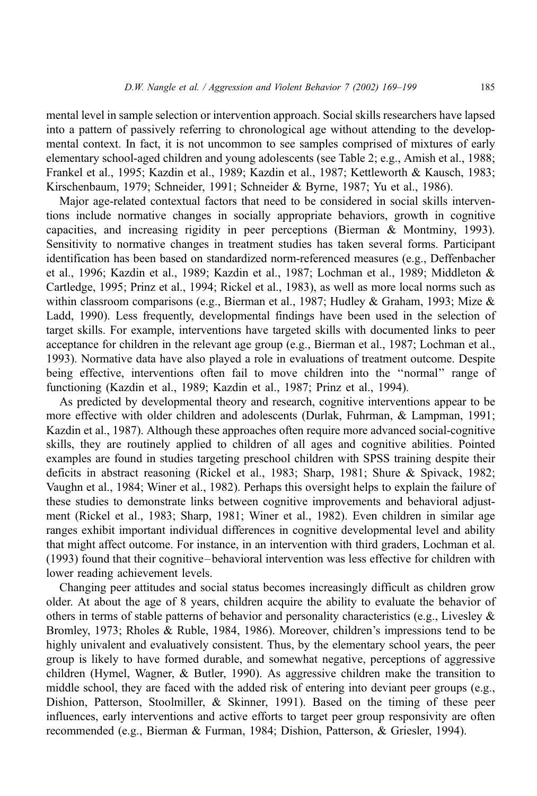mental level in sample selection or intervention approach. Social skills researchers have lapsed into a pattern of passively referring to chronological age without attending to the developmental context. In fact, it is not uncommon to see samples comprised of mixtures of early elementary school-aged children and young adolescents (see Table 2; e.g., Amish et al., 1988; Frankel et al., 1995; Kazdin et al., 1989; Kazdin et al., 1987; Kettleworth & Kausch, 1983; Kirschenbaum, 1979; Schneider, 1991; Schneider & Byrne, 1987; Yu et al., 1986).

Major age-related contextual factors that need to be considered in social skills interventions include normative changes in socially appropriate behaviors, growth in cognitive capacities, and increasing rigidity in peer perceptions (Bierman & Montminy, 1993). Sensitivity to normative changes in treatment studies has taken several forms. Participant identification has been based on standardized norm-referenced measures (e.g., Deffenbacher et al., 1996; Kazdin et al., 1989; Kazdin et al., 1987; Lochman et al., 1989; Middleton & Cartledge, 1995; Prinz et al., 1994; Rickel et al., 1983), as well as more local norms such as within classroom comparisons (e.g., Bierman et al., 1987; Hudley & Graham, 1993; Mize & Ladd, 1990). Less frequently, developmental findings have been used in the selection of target skills. For example, interventions have targeted skills with documented links to peer acceptance for children in the relevant age group (e.g., Bierman et al., 1987; Lochman et al., 1993). Normative data have also played a role in evaluations of treatment outcome. Despite being effective, interventions often fail to move children into the ''normal'' range of functioning (Kazdin et al., 1989; Kazdin et al., 1987; Prinz et al., 1994).

As predicted by developmental theory and research, cognitive interventions appear to be more effective with older children and adolescents (Durlak, Fuhrman, & Lampman, 1991; Kazdin et al., 1987). Although these approaches often require more advanced social-cognitive skills, they are routinely applied to children of all ages and cognitive abilities. Pointed examples are found in studies targeting preschool children with SPSS training despite their deficits in abstract reasoning (Rickel et al., 1983; Sharp, 1981; Shure & Spivack, 1982; Vaughn et al., 1984; Winer et al., 1982). Perhaps this oversight helps to explain the failure of these studies to demonstrate links between cognitive improvements and behavioral adjustment (Rickel et al., 1983; Sharp, 1981; Winer et al., 1982). Even children in similar age ranges exhibit important individual differences in cognitive developmental level and ability that might affect outcome. For instance, in an intervention with third graders, Lochman et al. (1993) found that their cognitive–behavioral intervention was less effective for children with lower reading achievement levels.

Changing peer attitudes and social status becomes increasingly difficult as children grow older. At about the age of 8 years, children acquire the ability to evaluate the behavior of others in terms of stable patterns of behavior and personality characteristics (e.g., Livesley  $\&$ Bromley, 1973; Rholes & Ruble, 1984, 1986). Moreover, children's impressions tend to be highly univalent and evaluatively consistent. Thus, by the elementary school years, the peer group is likely to have formed durable, and somewhat negative, perceptions of aggressive children (Hymel, Wagner, & Butler, 1990). As aggressive children make the transition to middle school, they are faced with the added risk of entering into deviant peer groups (e.g., Dishion, Patterson, Stoolmiller, & Skinner, 1991). Based on the timing of these peer influences, early interventions and active efforts to target peer group responsivity are often recommended (e.g., Bierman & Furman, 1984; Dishion, Patterson, & Griesler, 1994).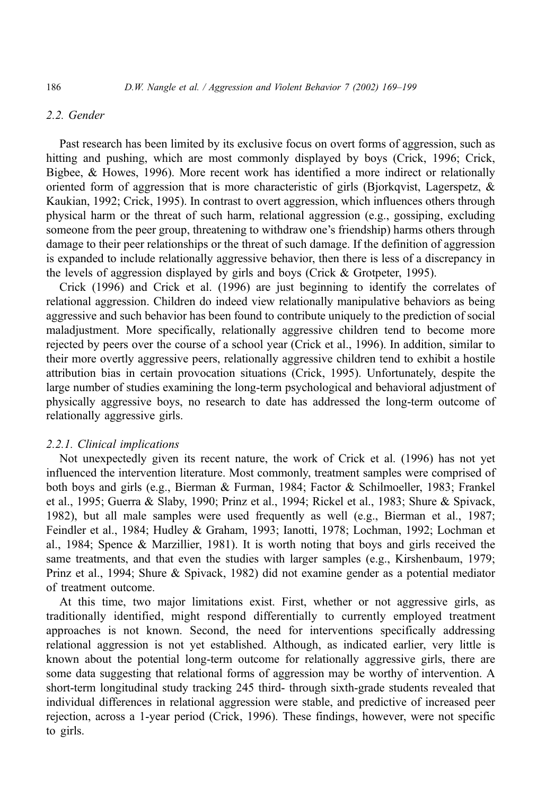# 2.2. Gender

Past research has been limited by its exclusive focus on overt forms of aggression, such as hitting and pushing, which are most commonly displayed by boys (Crick, 1996; Crick, Bigbee, & Howes, 1996). More recent work has identified a more indirect or relationally oriented form of aggression that is more characteristic of girls (Bjorkqvist, Lagerspetz, & Kaukian, 1992; Crick, 1995). In contrast to overt aggression, which influences others through physical harm or the threat of such harm, relational aggression (e.g., gossiping, excluding someone from the peer group, threatening to withdraw one's friendship) harms others through damage to their peer relationships or the threat of such damage. If the definition of aggression is expanded to include relationally aggressive behavior, then there is less of a discrepancy in the levels of aggression displayed by girls and boys (Crick & Grotpeter, 1995).

Crick (1996) and Crick et al. (1996) are just beginning to identify the correlates of relational aggression. Children do indeed view relationally manipulative behaviors as being aggressive and such behavior has been found to contribute uniquely to the prediction of social maladjustment. More specifically, relationally aggressive children tend to become more rejected by peers over the course of a school year (Crick et al., 1996). In addition, similar to their more overtly aggressive peers, relationally aggressive children tend to exhibit a hostile attribution bias in certain provocation situations (Crick, 1995). Unfortunately, despite the large number of studies examining the long-term psychological and behavioral adjustment of physically aggressive boys, no research to date has addressed the long-term outcome of relationally aggressive girls.

## 2.2.1. Clinical implications

Not unexpectedly given its recent nature, the work of Crick et al. (1996) has not yet influenced the intervention literature. Most commonly, treatment samples were comprised of both boys and girls (e.g., Bierman & Furman, 1984; Factor & Schilmoeller, 1983; Frankel et al., 1995; Guerra & Slaby, 1990; Prinz et al., 1994; Rickel et al., 1983; Shure & Spivack, 1982), but all male samples were used frequently as well (e.g., Bierman et al., 1987; Feindler et al., 1984; Hudley & Graham, 1993; Ianotti, 1978; Lochman, 1992; Lochman et al., 1984; Spence & Marzillier, 1981). It is worth noting that boys and girls received the same treatments, and that even the studies with larger samples (e.g., Kirshenbaum, 1979; Prinz et al., 1994; Shure & Spivack, 1982) did not examine gender as a potential mediator of treatment outcome.

At this time, two major limitations exist. First, whether or not aggressive girls, as traditionally identified, might respond differentially to currently employed treatment approaches is not known. Second, the need for interventions specifically addressing relational aggression is not yet established. Although, as indicated earlier, very little is known about the potential long-term outcome for relationally aggressive girls, there are some data suggesting that relational forms of aggression may be worthy of intervention. A short-term longitudinal study tracking 245 third- through sixth-grade students revealed that individual differences in relational aggression were stable, and predictive of increased peer rejection, across a 1-year period (Crick, 1996). These findings, however, were not specific to girls.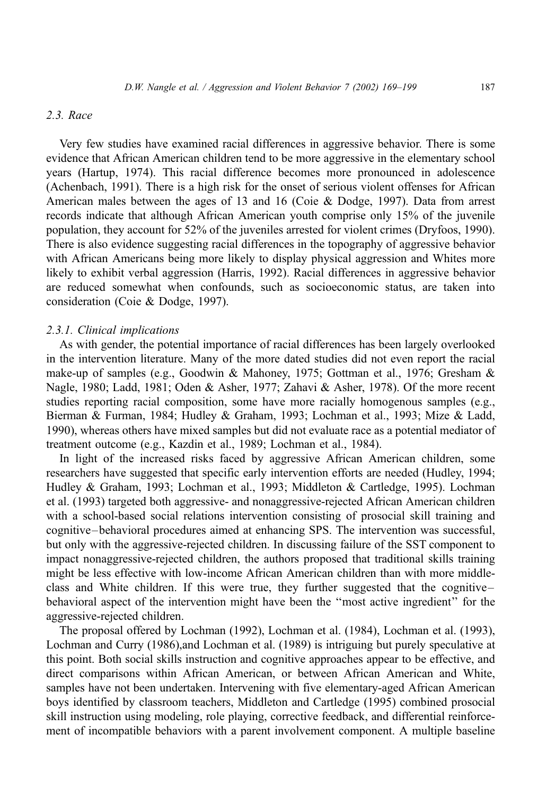## 2.3. Race

Very few studies have examined racial differences in aggressive behavior. There is some evidence that African American children tend to be more aggressive in the elementary school years (Hartup, 1974). This racial difference becomes more pronounced in adolescence (Achenbach, 1991). There is a high risk for the onset of serious violent offenses for African American males between the ages of 13 and 16 (Coie & Dodge, 1997). Data from arrest records indicate that although African American youth comprise only 15% of the juvenile population, they account for 52% of the juveniles arrested for violent crimes (Dryfoos, 1990). There is also evidence suggesting racial differences in the topography of aggressive behavior with African Americans being more likely to display physical aggression and Whites more likely to exhibit verbal aggression (Harris, 1992). Racial differences in aggressive behavior are reduced somewhat when confounds, such as socioeconomic status, are taken into consideration (Coie & Dodge, 1997).

# 2.3.1. Clinical implications

As with gender, the potential importance of racial differences has been largely overlooked in the intervention literature. Many of the more dated studies did not even report the racial make-up of samples (e.g., Goodwin & Mahoney, 1975; Gottman et al., 1976; Gresham & Nagle, 1980; Ladd, 1981; Oden & Asher, 1977; Zahavi & Asher, 1978). Of the more recent studies reporting racial composition, some have more racially homogenous samples (e.g., Bierman & Furman, 1984; Hudley & Graham, 1993; Lochman et al., 1993; Mize & Ladd, 1990), whereas others have mixed samples but did not evaluate race as a potential mediator of treatment outcome (e.g., Kazdin et al., 1989; Lochman et al., 1984).

In light of the increased risks faced by aggressive African American children, some researchers have suggested that specific early intervention efforts are needed (Hudley, 1994; Hudley & Graham, 1993; Lochman et al., 1993; Middleton & Cartledge, 1995). Lochman et al. (1993) targeted both aggressive- and nonaggressive-rejected African American children with a school-based social relations intervention consisting of prosocial skill training and cognitive–behavioral procedures aimed at enhancing SPS. The intervention was successful, but only with the aggressive-rejected children. In discussing failure of the SST component to impact nonaggressive-rejected children, the authors proposed that traditional skills training might be less effective with low-income African American children than with more middleclass and White children. If this were true, they further suggested that the cognitive– behavioral aspect of the intervention might have been the ''most active ingredient'' for the aggressive-rejected children.

The proposal offered by Lochman (1992), Lochman et al. (1984), Lochman et al. (1993), Lochman and Curry (1986),and Lochman et al. (1989) is intriguing but purely speculative at this point. Both social skills instruction and cognitive approaches appear to be effective, and direct comparisons within African American, or between African American and White, samples have not been undertaken. Intervening with five elementary-aged African American boys identified by classroom teachers, Middleton and Cartledge (1995) combined prosocial skill instruction using modeling, role playing, corrective feedback, and differential reinforcement of incompatible behaviors with a parent involvement component. A multiple baseline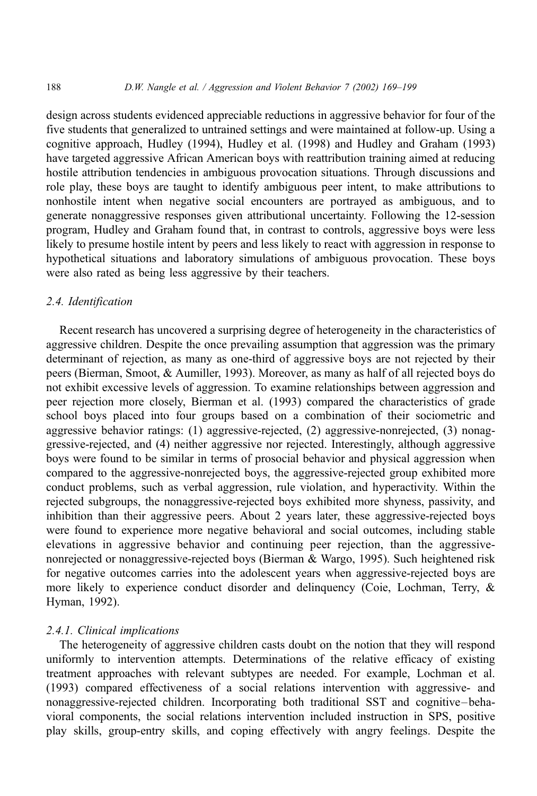design across students evidenced appreciable reductions in aggressive behavior for four of the five students that generalized to untrained settings and were maintained at follow-up. Using a cognitive approach, Hudley (1994), Hudley et al. (1998) and Hudley and Graham (1993) have targeted aggressive African American boys with reattribution training aimed at reducing hostile attribution tendencies in ambiguous provocation situations. Through discussions and role play, these boys are taught to identify ambiguous peer intent, to make attributions to nonhostile intent when negative social encounters are portrayed as ambiguous, and to generate nonaggressive responses given attributional uncertainty. Following the 12-session program, Hudley and Graham found that, in contrast to controls, aggressive boys were less likely to presume hostile intent by peers and less likely to react with aggression in response to hypothetical situations and laboratory simulations of ambiguous provocation. These boys were also rated as being less aggressive by their teachers.

# 2.4. Identification

Recent research has uncovered a surprising degree of heterogeneity in the characteristics of aggressive children. Despite the once prevailing assumption that aggression was the primary determinant of rejection, as many as one-third of aggressive boys are not rejected by their peers (Bierman, Smoot, & Aumiller, 1993). Moreover, as many as half of all rejected boys do not exhibit excessive levels of aggression. To examine relationships between aggression and peer rejection more closely, Bierman et al. (1993) compared the characteristics of grade school boys placed into four groups based on a combination of their sociometric and aggressive behavior ratings: (1) aggressive-rejected, (2) aggressive-nonrejected, (3) nonaggressive-rejected, and (4) neither aggressive nor rejected. Interestingly, although aggressive boys were found to be similar in terms of prosocial behavior and physical aggression when compared to the aggressive-nonrejected boys, the aggressive-rejected group exhibited more conduct problems, such as verbal aggression, rule violation, and hyperactivity. Within the rejected subgroups, the nonaggressive-rejected boys exhibited more shyness, passivity, and inhibition than their aggressive peers. About 2 years later, these aggressive-rejected boys were found to experience more negative behavioral and social outcomes, including stable elevations in aggressive behavior and continuing peer rejection, than the aggressivenonrejected or nonaggressive-rejected boys (Bierman & Wargo, 1995). Such heightened risk for negative outcomes carries into the adolescent years when aggressive-rejected boys are more likely to experience conduct disorder and delinquency (Coie, Lochman, Terry, & Hyman, 1992).

## 2.4.1. Clinical implications

The heterogeneity of aggressive children casts doubt on the notion that they will respond uniformly to intervention attempts. Determinations of the relative efficacy of existing treatment approaches with relevant subtypes are needed. For example, Lochman et al. (1993) compared effectiveness of a social relations intervention with aggressive- and nonaggressive-rejected children. Incorporating both traditional SST and cognitive–behavioral components, the social relations intervention included instruction in SPS, positive play skills, group-entry skills, and coping effectively with angry feelings. Despite the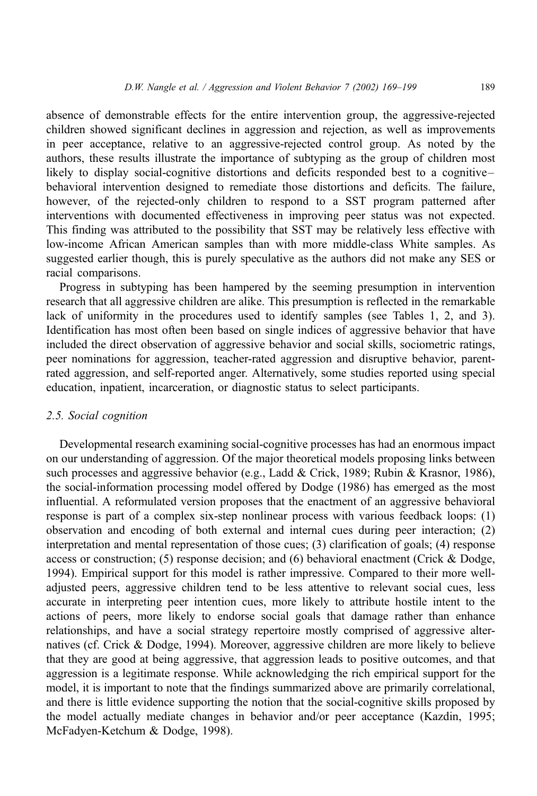absence of demonstrable effects for the entire intervention group, the aggressive-rejected children showed significant declines in aggression and rejection, as well as improvements in peer acceptance, relative to an aggressive-rejected control group. As noted by the authors, these results illustrate the importance of subtyping as the group of children most likely to display social-cognitive distortions and deficits responded best to a cognitive– behavioral intervention designed to remediate those distortions and deficits. The failure, however, of the rejected-only children to respond to a SST program patterned after interventions with documented effectiveness in improving peer status was not expected. This finding was attributed to the possibility that SST may be relatively less effective with low-income African American samples than with more middle-class White samples. As suggested earlier though, this is purely speculative as the authors did not make any SES or racial comparisons.

Progress in subtyping has been hampered by the seeming presumption in intervention research that all aggressive children are alike. This presumption is reflected in the remarkable lack of uniformity in the procedures used to identify samples (see Tables 1, 2, and 3). Identification has most often been based on single indices of aggressive behavior that have included the direct observation of aggressive behavior and social skills, sociometric ratings, peer nominations for aggression, teacher-rated aggression and disruptive behavior, parentrated aggression, and self-reported anger. Alternatively, some studies reported using special education, inpatient, incarceration, or diagnostic status to select participants.

#### 2.5. Social cognition

Developmental research examining social-cognitive processes has had an enormous impact on our understanding of aggression. Of the major theoretical models proposing links between such processes and aggressive behavior (e.g., Ladd & Crick, 1989; Rubin & Krasnor, 1986), the social-information processing model offered by Dodge (1986) has emerged as the most influential. A reformulated version proposes that the enactment of an aggressive behavioral response is part of a complex six-step nonlinear process with various feedback loops: (1) observation and encoding of both external and internal cues during peer interaction; (2) interpretation and mental representation of those cues; (3) clarification of goals; (4) response access or construction; (5) response decision; and (6) behavioral enactment (Crick & Dodge, 1994). Empirical support for this model is rather impressive. Compared to their more welladjusted peers, aggressive children tend to be less attentive to relevant social cues, less accurate in interpreting peer intention cues, more likely to attribute hostile intent to the actions of peers, more likely to endorse social goals that damage rather than enhance relationships, and have a social strategy repertoire mostly comprised of aggressive alternatives (cf. Crick & Dodge, 1994). Moreover, aggressive children are more likely to believe that they are good at being aggressive, that aggression leads to positive outcomes, and that aggression is a legitimate response. While acknowledging the rich empirical support for the model, it is important to note that the findings summarized above are primarily correlational, and there is little evidence supporting the notion that the social-cognitive skills proposed by the model actually mediate changes in behavior and/or peer acceptance (Kazdin, 1995; McFadyen-Ketchum & Dodge, 1998).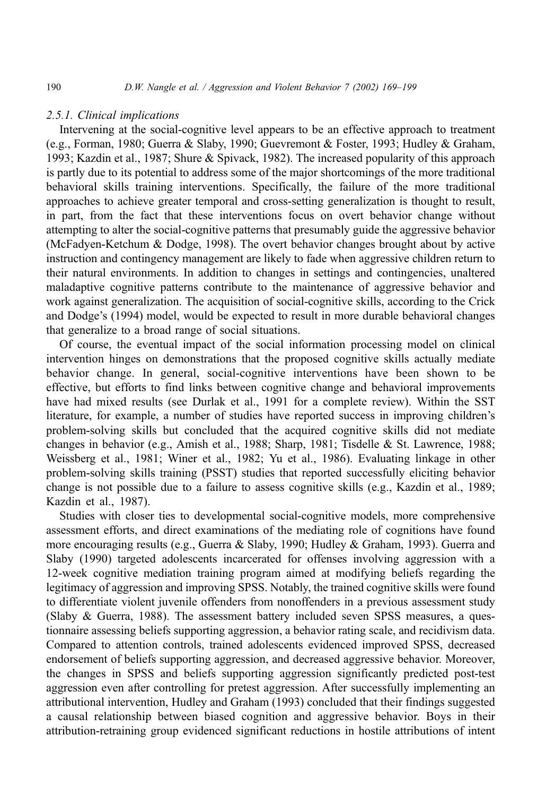# 2.5.1. Clinical implications

Intervening at the social-cognitive level appears to be an effective approach to treatment (e.g., Forman, 1980; Guerra & Slaby, 1990; Guevremont & Foster, 1993; Hudley & Graham, 1993; Kazdin et al., 1987; Shure & Spivack, 1982). The increased popularity of this approach is partly due to its potential to address some of the major shortcomings of the more traditional behavioral skills training interventions. Specifically, the failure of the more traditional approaches to achieve greater temporal and cross-setting generalization is thought to result, in part, from the fact that these interventions focus on overt behavior change without attempting to alter the social-cognitive patterns that presumably guide the aggressive behavior (McFadyen-Ketchum & Dodge, 1998). The overt behavior changes brought about by active instruction and contingency management are likely to fade when aggressive children return to their natural environments. In addition to changes in settings and contingencies, unaltered maladaptive cognitive patterns contribute to the maintenance of aggressive behavior and work against generalization. The acquisition of social-cognitive skills, according to the Crick and Dodge's (1994) model, would be expected to result in more durable behavioral changes that generalize to a broad range of social situations.

Of course, the eventual impact of the social information processing model on clinical intervention hinges on demonstrations that the proposed cognitive skills actually mediate behavior change. In general, social-cognitive interventions have been shown to be effective, but efforts to find links between cognitive change and behavioral improvements have had mixed results (see Durlak et al., 1991 for a complete review). Within the SST literature, for example, a number of studies have reported success in improving children's problem-solving skills but concluded that the acquired cognitive skills did not mediate changes in behavior (e.g., Amish et al., 1988; Sharp, 1981; Tisdelle & St. Lawrence, 1988; Weissberg et al., 1981; Winer et al., 1982; Yu et al., 1986). Evaluating linkage in other problem-solving skills training (PSST) studies that reported successfully eliciting behavior change is not possible due to a failure to assess cognitive skills (e.g., Kazdin et al., 1989; Kazdin et al., 1987).

Studies with closer ties to developmental social-cognitive models, more comprehensive assessment efforts, and direct examinations of the mediating role of cognitions have found more encouraging results (e.g., Guerra & Slaby, 1990; Hudley & Graham, 1993). Guerra and Slaby (1990) targeted adolescents incarcerated for offenses involving aggression with a 12-week cognitive mediation training program aimed at modifying beliefs regarding the legitimacy of aggression and improving SPSS. Notably, the trained cognitive skills were found to differentiate violent juvenile offenders from nonoffenders in a previous assessment study (Slaby  $\&$  Guerra, 1988). The assessment battery included seven SPSS measures, a questionnaire assessing beliefs supporting aggression, a behavior rating scale, and recidivism data. Compared to attention controls, trained adolescents evidenced improved SPSS, decreased endorsement of beliefs supporting aggression, and decreased aggressive behavior. Moreover, the changes in SPSS and beliefs supporting aggression significantly predicted post-test aggression even after controlling for pretest aggression. After successfully implementing an attributional intervention, Hudley and Graham (1993) concluded that their findings suggested a causal relationship between biased cognition and aggressive behavior. Boys in their attribution-retraining group evidenced significant reductions in hostile attributions of intent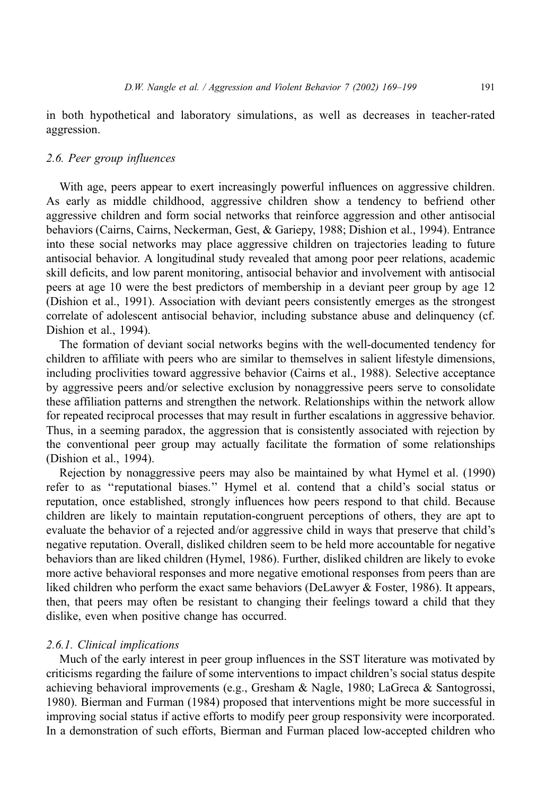in both hypothetical and laboratory simulations, as well as decreases in teacher-rated aggression.

# 2.6. Peer group influences

With age, peers appear to exert increasingly powerful influences on aggressive children. As early as middle childhood, aggressive children show a tendency to befriend other aggressive children and form social networks that reinforce aggression and other antisocial behaviors (Cairns, Cairns, Neckerman, Gest, & Gariepy, 1988; Dishion et al., 1994). Entrance into these social networks may place aggressive children on trajectories leading to future antisocial behavior. A longitudinal study revealed that among poor peer relations, academic skill deficits, and low parent monitoring, antisocial behavior and involvement with antisocial peers at age 10 were the best predictors of membership in a deviant peer group by age 12 (Dishion et al., 1991). Association with deviant peers consistently emerges as the strongest correlate of adolescent antisocial behavior, including substance abuse and delinquency (cf. Dishion et al., 1994).

The formation of deviant social networks begins with the well-documented tendency for children to affiliate with peers who are similar to themselves in salient lifestyle dimensions, including proclivities toward aggressive behavior (Cairns et al., 1988). Selective acceptance by aggressive peers and/or selective exclusion by nonaggressive peers serve to consolidate these affiliation patterns and strengthen the network. Relationships within the network allow for repeated reciprocal processes that may result in further escalations in aggressive behavior. Thus, in a seeming paradox, the aggression that is consistently associated with rejection by the conventional peer group may actually facilitate the formation of some relationships (Dishion et al., 1994).

Rejection by nonaggressive peers may also be maintained by what Hymel et al. (1990) refer to as ''reputational biases.'' Hymel et al. contend that a child's social status or reputation, once established, strongly influences how peers respond to that child. Because children are likely to maintain reputation-congruent perceptions of others, they are apt to evaluate the behavior of a rejected and/or aggressive child in ways that preserve that child's negative reputation. Overall, disliked children seem to be held more accountable for negative behaviors than are liked children (Hymel, 1986). Further, disliked children are likely to evoke more active behavioral responses and more negative emotional responses from peers than are liked children who perform the exact same behaviors (DeLawyer & Foster, 1986). It appears, then, that peers may often be resistant to changing their feelings toward a child that they dislike, even when positive change has occurred.

## 2.6.1. Clinical implications

Much of the early interest in peer group influences in the SST literature was motivated by criticisms regarding the failure of some interventions to impact children's social status despite achieving behavioral improvements (e.g., Gresham & Nagle, 1980; LaGreca & Santogrossi, 1980). Bierman and Furman (1984) proposed that interventions might be more successful in improving social status if active efforts to modify peer group responsivity were incorporated. In a demonstration of such efforts, Bierman and Furman placed low-accepted children who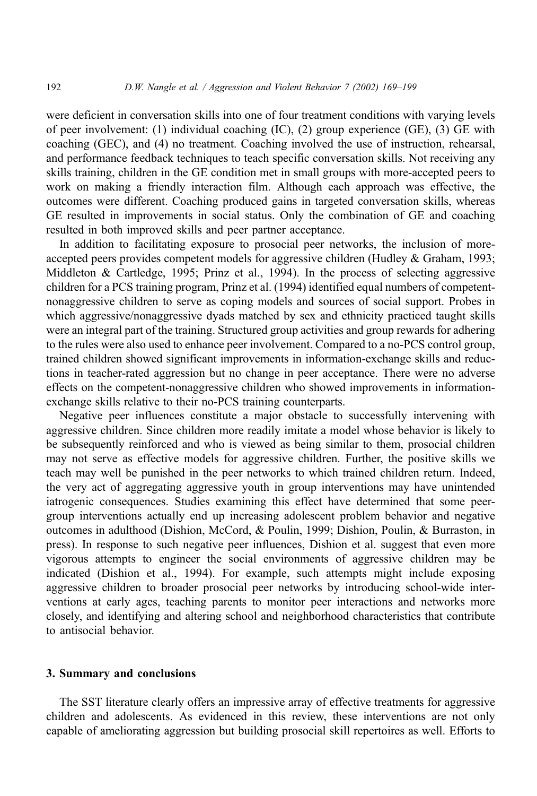were deficient in conversation skills into one of four treatment conditions with varying levels of peer involvement: (1) individual coaching (IC), (2) group experience (GE), (3) GE with coaching (GEC), and (4) no treatment. Coaching involved the use of instruction, rehearsal, and performance feedback techniques to teach specific conversation skills. Not receiving any skills training, children in the GE condition met in small groups with more-accepted peers to work on making a friendly interaction film. Although each approach was effective, the outcomes were different. Coaching produced gains in targeted conversation skills, whereas GE resulted in improvements in social status. Only the combination of GE and coaching resulted in both improved skills and peer partner acceptance.

In addition to facilitating exposure to prosocial peer networks, the inclusion of moreaccepted peers provides competent models for aggressive children (Hudley & Graham, 1993; Middleton & Cartledge, 1995; Prinz et al., 1994). In the process of selecting aggressive children for a PCS training program, Prinz et al. (1994) identified equal numbers of competentnonaggressive children to serve as coping models and sources of social support. Probes in which aggressive/nonaggressive dyads matched by sex and ethnicity practiced taught skills were an integral part of the training. Structured group activities and group rewards for adhering to the rules were also used to enhance peer involvement. Compared to a no-PCS control group, trained children showed significant improvements in information-exchange skills and reductions in teacher-rated aggression but no change in peer acceptance. There were no adverse effects on the competent-nonaggressive children who showed improvements in informationexchange skills relative to their no-PCS training counterparts.

Negative peer influences constitute a major obstacle to successfully intervening with aggressive children. Since children more readily imitate a model whose behavior is likely to be subsequently reinforced and who is viewed as being similar to them, prosocial children may not serve as effective models for aggressive children. Further, the positive skills we teach may well be punished in the peer networks to which trained children return. Indeed, the very act of aggregating aggressive youth in group interventions may have unintended iatrogenic consequences. Studies examining this effect have determined that some peergroup interventions actually end up increasing adolescent problem behavior and negative outcomes in adulthood (Dishion, McCord, & Poulin, 1999; Dishion, Poulin, & Burraston, in press). In response to such negative peer influences, Dishion et al. suggest that even more vigorous attempts to engineer the social environments of aggressive children may be indicated (Dishion et al., 1994). For example, such attempts might include exposing aggressive children to broader prosocial peer networks by introducing school-wide interventions at early ages, teaching parents to monitor peer interactions and networks more closely, and identifying and altering school and neighborhood characteristics that contribute to antisocial behavior.

## 3. Summary and conclusions

The SST literature clearly offers an impressive array of effective treatments for aggressive children and adolescents. As evidenced in this review, these interventions are not only capable of ameliorating aggression but building prosocial skill repertoires as well. Efforts to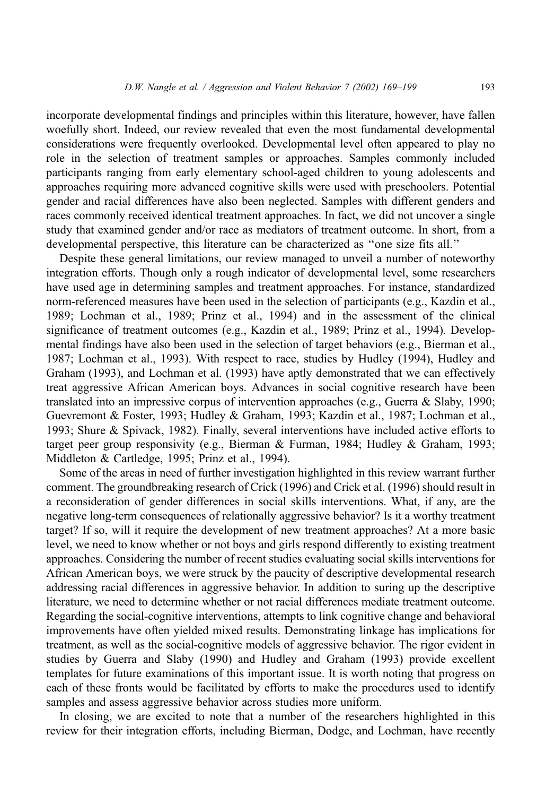incorporate developmental findings and principles within this literature, however, have fallen woefully short. Indeed, our review revealed that even the most fundamental developmental considerations were frequently overlooked. Developmental level often appeared to play no role in the selection of treatment samples or approaches. Samples commonly included participants ranging from early elementary school-aged children to young adolescents and approaches requiring more advanced cognitive skills were used with preschoolers. Potential gender and racial differences have also been neglected. Samples with different genders and races commonly received identical treatment approaches. In fact, we did not uncover a single study that examined gender and/or race as mediators of treatment outcome. In short, from a developmental perspective, this literature can be characterized as ''one size fits all.''

Despite these general limitations, our review managed to unveil a number of noteworthy integration efforts. Though only a rough indicator of developmental level, some researchers have used age in determining samples and treatment approaches. For instance, standardized norm-referenced measures have been used in the selection of participants (e.g., Kazdin et al., 1989; Lochman et al., 1989; Prinz et al., 1994) and in the assessment of the clinical significance of treatment outcomes (e.g., Kazdin et al., 1989; Prinz et al., 1994). Developmental findings have also been used in the selection of target behaviors (e.g., Bierman et al., 1987; Lochman et al., 1993). With respect to race, studies by Hudley (1994), Hudley and Graham (1993), and Lochman et al. (1993) have aptly demonstrated that we can effectively treat aggressive African American boys. Advances in social cognitive research have been translated into an impressive corpus of intervention approaches (e.g., Guerra & Slaby, 1990; Guevremont & Foster, 1993; Hudley & Graham, 1993; Kazdin et al., 1987; Lochman et al., 1993; Shure & Spivack, 1982). Finally, several interventions have included active efforts to target peer group responsivity (e.g., Bierman & Furman, 1984; Hudley & Graham, 1993; Middleton & Cartledge, 1995; Prinz et al., 1994).

Some of the areas in need of further investigation highlighted in this review warrant further comment. The groundbreaking research of Crick (1996) and Crick et al. (1996) should result in a reconsideration of gender differences in social skills interventions. What, if any, are the negative long-term consequences of relationally aggressive behavior? Is it a worthy treatment target? If so, will it require the development of new treatment approaches? At a more basic level, we need to know whether or not boys and girls respond differently to existing treatment approaches. Considering the number of recent studies evaluating social skills interventions for African American boys, we were struck by the paucity of descriptive developmental research addressing racial differences in aggressive behavior. In addition to suring up the descriptive literature, we need to determine whether or not racial differences mediate treatment outcome. Regarding the social-cognitive interventions, attempts to link cognitive change and behavioral improvements have often yielded mixed results. Demonstrating linkage has implications for treatment, as well as the social-cognitive models of aggressive behavior. The rigor evident in studies by Guerra and Slaby (1990) and Hudley and Graham (1993) provide excellent templates for future examinations of this important issue. It is worth noting that progress on each of these fronts would be facilitated by efforts to make the procedures used to identify samples and assess aggressive behavior across studies more uniform.

In closing, we are excited to note that a number of the researchers highlighted in this review for their integration efforts, including Bierman, Dodge, and Lochman, have recently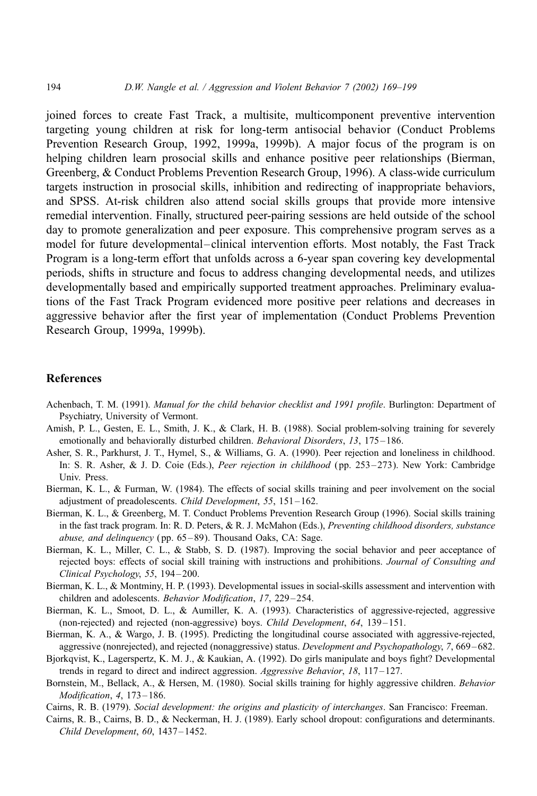joined forces to create Fast Track, a multisite, multicomponent preventive intervention targeting young children at risk for long-term antisocial behavior (Conduct Problems Prevention Research Group, 1992, 1999a, 1999b). A major focus of the program is on helping children learn prosocial skills and enhance positive peer relationships (Bierman, Greenberg, & Conduct Problems Prevention Research Group, 1996). A class-wide curriculum targets instruction in prosocial skills, inhibition and redirecting of inappropriate behaviors, and SPSS. At-risk children also attend social skills groups that provide more intensive remedial intervention. Finally, structured peer-pairing sessions are held outside of the school day to promote generalization and peer exposure. This comprehensive program serves as a model for future developmental–clinical intervention efforts. Most notably, the Fast Track Program is a long-term effort that unfolds across a 6-year span covering key developmental periods, shifts in structure and focus to address changing developmental needs, and utilizes developmentally based and empirically supported treatment approaches. Preliminary evaluations of the Fast Track Program evidenced more positive peer relations and decreases in aggressive behavior after the first year of implementation (Conduct Problems Prevention Research Group, 1999a, 1999b).

#### References

- Achenbach, T. M. (1991). Manual for the child behavior checklist and 1991 profile. Burlington: Department of Psychiatry, University of Vermont.
- Amish, P. L., Gesten, E. L., Smith, J. K., & Clark, H. B. (1988). Social problem-solving training for severely emotionally and behaviorally disturbed children. Behavioral Disorders, 13, 175–186.
- Asher, S. R., Parkhurst, J. T., Hymel, S., & Williams, G. A. (1990). Peer rejection and loneliness in childhood. In: S. R. Asher, & J. D. Coie (Eds.), Peer rejection in childhood (pp. 253-273). New York: Cambridge Univ. Press.
- Bierman, K. L., & Furman, W. (1984). The effects of social skills training and peer involvement on the social adjustment of preadolescents. Child Development, 55, 151 – 162.
- Bierman, K. L., & Greenberg, M. T. Conduct Problems Prevention Research Group (1996). Social skills training in the fast track program. In: R. D. Peters, & R. J. McMahon (Eds.), Preventing childhood disorders, substance abuse, and delinquency ( pp. 65 – 89). Thousand Oaks, CA: Sage.
- Bierman, K. L., Miller, C. L., & Stabb, S. D. (1987). Improving the social behavior and peer acceptance of rejected boys: effects of social skill training with instructions and prohibitions. Journal of Consulting and Clinical Psychology, 55, 194-200.
- Bierman, K. L., & Montminy, H. P. (1993). Developmental issues in social-skills assessment and intervention with children and adolescents. Behavior Modification, 17, 229 – 254.
- Bierman, K. L., Smoot, D. L., & Aumiller, K. A. (1993). Characteristics of aggressive-rejected, aggressive (non-rejected) and rejected (non-aggressive) boys. Child Development, 64, 139–151.
- Bierman, K. A., & Wargo, J. B. (1995). Predicting the longitudinal course associated with aggressive-rejected, aggressive (nonrejected), and rejected (nonaggressive) status. Development and Psychopathology, 7, 669 – 682.
- Bjorkqvist, K., Lagerspertz, K. M. J., & Kaukian, A. (1992). Do girls manipulate and boys fight? Developmental trends in regard to direct and indirect aggression. Aggressive Behavior, 18, 117-127.
- Bornstein, M., Bellack, A., & Hersen, M. (1980). Social skills training for highly aggressive children. Behavior Modification, 4, 173 – 186.
- Cairns, R. B. (1979). Social development: the origins and plasticity of interchanges. San Francisco: Freeman.
- Cairns, R. B., Cairns, B. D., & Neckerman, H. J. (1989). Early school dropout: configurations and determinants. Child Development, 60, 1437 – 1452.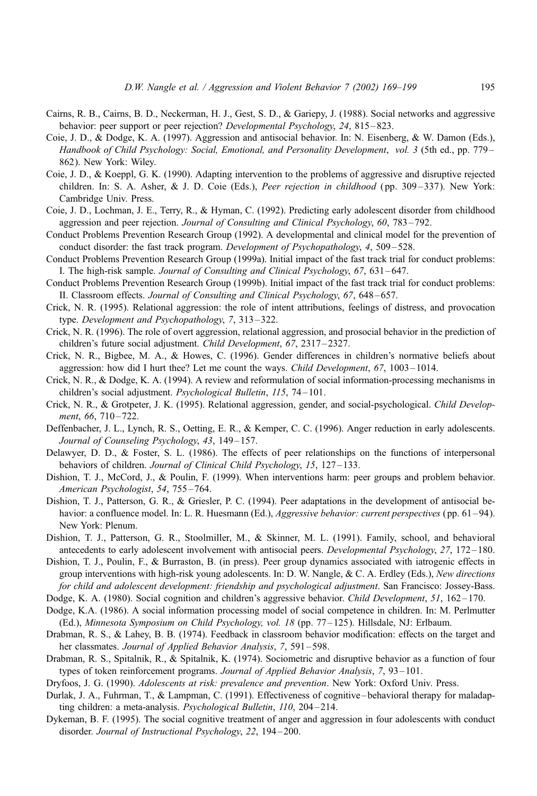- Cairns, R. B., Cairns, B. D., Neckerman, H. J., Gest, S. D., & Gariepy, J. (1988). Social networks and aggressive behavior: peer support or peer rejection? Developmental Psychology, 24, 815 – 823.
- Coie, J. D., & Dodge, K. A. (1997). Aggression and antisocial behavior. In: N. Eisenberg, & W. Damon (Eds.), Handbook of Child Psychology: Social, Emotional, and Personality Development, vol. 3 (5th ed., pp. 779 – 862). New York: Wiley.
- Coie, J. D., & Koeppl, G. K. (1990). Adapting intervention to the problems of aggressive and disruptive rejected children. In: S. A. Asher, & J. D. Coie (Eds.), Peer rejection in childhood (pp. 309–337). New York: Cambridge Univ. Press.
- Coie, J. D., Lochman, J. E., Terry, R., & Hyman, C. (1992). Predicting early adolescent disorder from childhood aggression and peer rejection. Journal of Consulting and Clinical Psychology, 60, 783 – 792.
- Conduct Problems Prevention Research Group (1992). A developmental and clinical model for the prevention of conduct disorder: the fast track program. Development of Psychopathology, 4, 509-528.
- Conduct Problems Prevention Research Group (1999a). Initial impact of the fast track trial for conduct problems: I. The high-risk sample. Journal of Consulting and Clinical Psychology, 67, 631-647.
- Conduct Problems Prevention Research Group (1999b). Initial impact of the fast track trial for conduct problems: II. Classroom effects. Journal of Consulting and Clinical Psychology, 67, 648-657.
- Crick, N. R. (1995). Relational aggression: the role of intent attributions, feelings of distress, and provocation type. Development and Psychopathology, 7, 313 – 322.
- Crick, N. R. (1996). The role of overt aggression, relational aggression, and prosocial behavior in the prediction of children's future social adjustment. Child Development, 67, 2317 – 2327.
- Crick, N. R., Bigbee, M. A., & Howes, C. (1996). Gender differences in children's normative beliefs about aggression: how did I hurt thee? Let me count the ways. Child Development, 67, 1003 – 1014.
- Crick, N. R., & Dodge, K. A. (1994). A review and reformulation of social information-processing mechanisms in children's social adjustment. Psychological Bulletin, 115, 74 – 101.
- Crick, N. R., & Grotpeter, J. K. (1995). Relational aggression, gender, and social-psychological. Child Development, 66, 710-722.
- Deffenbacher, J. L., Lynch, R. S., Oetting, E. R., & Kemper, C. C. (1996). Anger reduction in early adolescents. Journal of Counseling Psychology, 43, 149-157.
- Delawyer, D. D., & Foster, S. L. (1986). The effects of peer relationships on the functions of interpersonal behaviors of children. Journal of Clinical Child Psychology, 15, 127-133.
- Dishion, T. J., McCord, J., & Poulin, F. (1999). When interventions harm: peer groups and problem behavior. American Psychologist, 54, 755 – 764.
- Dishion, T. J., Patterson, G. R., & Griesler, P. C. (1994). Peer adaptations in the development of antisocial behavior: a confluence model. In: L. R. Huesmann (Ed.), *Aggressive behavior: current perspectives* (pp. 61–94). New York: Plenum.
- Dishion, T. J., Patterson, G. R., Stoolmiller, M., & Skinner, M. L. (1991). Family, school, and behavioral antecedents to early adolescent involvement with antisocial peers. *Developmental Psychology*, 27, 172–180.
- Dishion, T. J., Poulin, F., & Burraston, B. (in press). Peer group dynamics associated with iatrogenic effects in group interventions with high-risk young adolescents. In: D. W. Nangle, & C. A. Erdley (Eds.), New directions for child and adolescent development: friendship and psychological adjustment. San Francisco: Jossey-Bass.
- Dodge, K. A. (1980). Social cognition and children's aggressive behavior. Child Development, 51, 162-170.
- Dodge, K.A. (1986). A social information processing model of social competence in children. In: M. Perlmutter (Ed.), Minnesota Symposium on Child Psychology, vol. 18 (pp. 77 – 125). Hillsdale, NJ: Erlbaum.
- Drabman, R. S., & Lahey, B. B. (1974). Feedback in classroom behavior modification: effects on the target and her classmates. Journal of Applied Behavior Analysis, 7, 591-598.
- Drabman, R. S., Spitalnik, R., & Spitalnik, K. (1974). Sociometric and disruptive behavior as a function of four types of token reinforcement programs. Journal of Applied Behavior Analysis, 7, 93-101.

Dryfoos, J. G. (1990). Adolescents at risk: prevalence and prevention. New York: Oxford Univ. Press.

- Durlak, J. A., Fuhrman, T., & Lampman, C. (1991). Effectiveness of cognitive behavioral therapy for maladapting children: a meta-analysis. Psychological Bulletin, 110, 204-214.
- Dykeman, B. F. (1995). The social cognitive treatment of anger and aggression in four adolescents with conduct disorder. Journal of Instructional Psychology, 22, 194-200.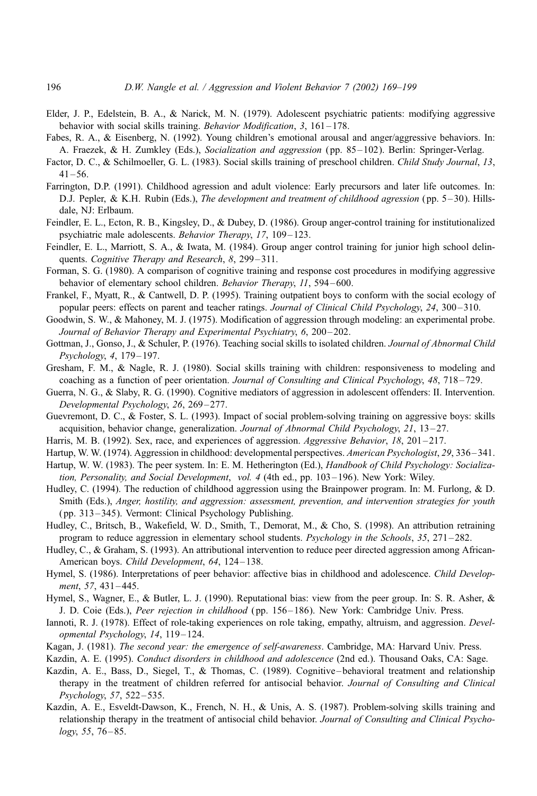- Elder, J. P., Edelstein, B. A., & Narick, M. N. (1979). Adolescent psychiatric patients: modifying aggressive behavior with social skills training. *Behavior Modification*, 3, 161–178.
- Fabes, R. A., & Eisenberg, N. (1992). Young children's emotional arousal and anger/aggressive behaviors. In: A. Fraezek, & H. Zumkley (Eds.), Socialization and aggression (pp. 85-102). Berlin: Springer-Verlag.
- Factor, D. C., & Schilmoeller, G. L. (1983). Social skills training of preschool children. Child Study Journal, 13,  $41 - 56$ .
- Farrington, D.P. (1991). Childhood agression and adult violence: Early precursors and later life outcomes. In: D.J. Pepler, & K.H. Rubin (Eds.), *The development and treatment of childhood agression* (pp. 5–30). Hillsdale, NJ: Erlbaum.
- Feindler, E. L., Ecton, R. B., Kingsley, D., & Dubey, D. (1986). Group anger-control training for institutionalized psychiatric male adolescents. Behavior Therapy, 17, 109-123.
- Feindler, E. L., Marriott, S. A., & Iwata, M. (1984). Group anger control training for junior high school delinquents. Cognitive Therapy and Research, 8, 299-311.
- Forman, S. G. (1980). A comparison of cognitive training and response cost procedures in modifying aggressive behavior of elementary school children. Behavior Therapy, 11, 594-600.
- Frankel, F., Myatt, R., & Cantwell, D. P. (1995). Training outpatient boys to conform with the social ecology of popular peers: effects on parent and teacher ratings. Journal of Clinical Child Psychology, 24, 300–310.
- Goodwin, S. W., & Mahoney, M. J. (1975). Modification of aggression through modeling: an experimental probe. Journal of Behavior Therapy and Experimental Psychiatry, 6, 200–202.
- Gottman, J., Gonso, J., & Schuler, P. (1976). Teaching social skills to isolated children. Journal of Abnormal Child Psychology, 4, 179-197.
- Gresham, F. M., & Nagle, R. J. (1980). Social skills training with children: responsiveness to modeling and coaching as a function of peer orientation. Journal of Consulting and Clinical Psychology, 48, 718–729.
- Guerra, N. G., & Slaby, R. G. (1990). Cognitive mediators of aggression in adolescent offenders: II. Intervention. Developmental Psychology, 26, 269 – 277.
- Guevremont, D. C., & Foster, S. L. (1993). Impact of social problem-solving training on aggressive boys: skills acquisition, behavior change, generalization. Journal of Abnormal Child Psychology, 21, 13-27.
- Harris, M. B. (1992). Sex, race, and experiences of aggression. Aggressive Behavior, 18, 201-217.
- Hartup, W. W. (1974). Aggression in childhood: developmental perspectives. American Psychologist, 29, 336-341.
- Hartup, W. W. (1983). The peer system. In: E. M. Hetherington (Ed.), Handbook of Child Psychology: Socialization, Personality, and Social Development, vol. 4 (4th ed., pp. 103–196). New York: Wiley.
- Hudley, C. (1994). The reduction of childhood aggression using the Brainpower program. In: M. Furlong, & D. Smith (Eds.), Anger, hostility, and aggression: assessment, prevention, and intervention strategies for youth ( pp. 313 – 345). Vermont: Clinical Psychology Publishing.
- Hudley, C., Britsch, B., Wakefield, W. D., Smith, T., Demorat, M., & Cho, S. (1998). An attribution retraining program to reduce aggression in elementary school students. Psychology in the Schools, 35, 271 – 282.
- Hudley, C., & Graham, S. (1993). An attributional intervention to reduce peer directed aggression among African-American boys. Child Development, 64, 124-138.
- Hymel, S. (1986). Interpretations of peer behavior: affective bias in childhood and adolescence. Child Development, 57, 431–445.
- Hymel, S., Wagner, E., & Butler, L. J. (1990). Reputational bias: view from the peer group. In: S. R. Asher, & J. D. Coie (Eds.), Peer rejection in childhood (pp. 156–186). New York: Cambridge Univ. Press.
- Iannoti, R. J. (1978). Effect of role-taking experiences on role taking, empathy, altruism, and aggression. Developmental Psychology, 14, 119 – 124.
- Kagan, J. (1981). The second year: the emergence of self-awareness. Cambridge, MA: Harvard Univ. Press.
- Kazdin, A. E. (1995). Conduct disorders in childhood and adolescence (2nd ed.). Thousand Oaks, CA: Sage.
- Kazdin, A. E., Bass, D., Siegel, T., & Thomas, C. (1989). Cognitive behavioral treatment and relationship therapy in the treatment of children referred for antisocial behavior. Journal of Consulting and Clinical Psychology, 57, 522 – 535.
- Kazdin, A. E., Esveldt-Dawson, K., French, N. H., & Unis, A. S. (1987). Problem-solving skills training and relationship therapy in the treatment of antisocial child behavior. Journal of Consulting and Clinical Psycho $logy, 55, 76 - 85.$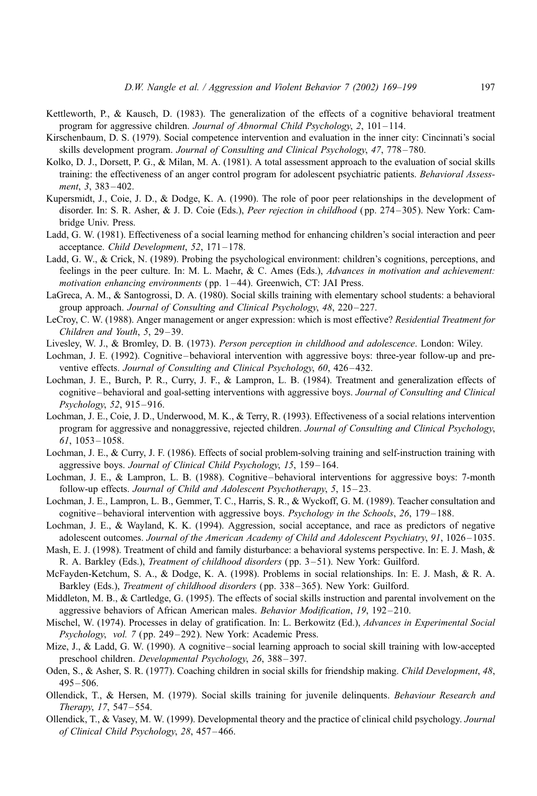- Kettleworth, P., & Kausch, D. (1983). The generalization of the effects of a cognitive behavioral treatment program for aggressive children. Journal of Abnormal Child Psychology, 2, 101 – 114.
- Kirschenbaum, D. S. (1979). Social competence intervention and evaluation in the inner city: Cincinnati's social skills development program. Journal of Consulting and Clinical Psychology, 47, 778 – 780.
- Kolko, D. J., Dorsett, P. G., & Milan, M. A. (1981). A total assessment approach to the evaluation of social skills training: the effectiveness of an anger control program for adolescent psychiatric patients. Behavioral Assessment, 3, 383-402.
- Kupersmidt, J., Coie, J. D., & Dodge, K. A. (1990). The role of poor peer relationships in the development of disorder. In: S. R. Asher, & J. D. Coie (Eds.), Peer rejection in childhood (pp. 274-305). New York: Cambridge Univ. Press.
- Ladd, G. W. (1981). Effectiveness of a social learning method for enhancing children's social interaction and peer acceptance. Child Development, 52, 171-178.
- Ladd, G. W., & Crick, N. (1989). Probing the psychological environment: children's cognitions, perceptions, and feelings in the peer culture. In: M. L. Maehr, & C. Ames (Eds.), Advances in motivation and achievement: motivation enhancing environments (pp. 1–44). Greenwich, CT: JAI Press.
- LaGreca, A. M., & Santogrossi, D. A. (1980). Social skills training with elementary school students: a behavioral group approach. Journal of Consulting and Clinical Psychology, 48, 220 – 227.
- LeCroy, C. W. (1988). Anger management or anger expression: which is most effective? Residential Treatment for Children and Youth, 5, 29–39.
- Livesley, W. J., & Bromley, D. B. (1973). Person perception in childhood and adolescence. London: Wiley.
- Lochman, J. E. (1992). Cognitive behavioral intervention with aggressive boys: three-year follow-up and preventive effects. Journal of Consulting and Clinical Psychology, 60, 426–432.
- Lochman, J. E., Burch, P. R., Curry, J. F., & Lampron, L. B. (1984). Treatment and generalization effects of cognitive – behavioral and goal-setting interventions with aggressive boys. Journal of Consulting and Clinical Psychology, 52, 915 – 916.
- Lochman, J. E., Coie, J. D., Underwood, M. K., & Terry, R. (1993). Effectiveness of a social relations intervention program for aggressive and nonaggressive, rejected children. Journal of Consulting and Clinical Psychology, 61, 1053 – 1058.
- Lochman, J. E., & Curry, J. F. (1986). Effects of social problem-solving training and self-instruction training with aggressive boys. Journal of Clinical Child Psychology, 15, 159-164.
- Lochman, J. E., & Lampron, L. B. (1988). Cognitive behavioral interventions for aggressive boys: 7-month follow-up effects. Journal of Child and Adolescent Psychotherapy, 5, 15-23.
- Lochman, J. E., Lampron, L. B., Gemmer, T. C., Harris, S. R., & Wyckoff, G. M. (1989). Teacher consultation and cognitive – behavioral intervention with aggressive boys. Psychology in the Schools, 26, 179–188.
- Lochman, J. E., & Wayland, K. K. (1994). Aggression, social acceptance, and race as predictors of negative adolescent outcomes. Journal of the American Academy of Child and Adolescent Psychiatry, 91, 1026 – 1035.
- Mash, E. J. (1998). Treatment of child and family disturbance: a behavioral systems perspective. In: E. J. Mash, & R. A. Barkley (Eds.), Treatment of childhood disorders ( pp. 3 – 51). New York: Guilford.
- McFayden-Ketchum, S. A., & Dodge, K. A. (1998). Problems in social relationships. In: E. J. Mash, & R. A. Barkley (Eds.), Treatment of childhood disorders ( pp. 338 – 365). New York: Guilford.
- Middleton, M. B., & Cartledge, G. (1995). The effects of social skills instruction and parental involvement on the aggressive behaviors of African American males. Behavior Modification, 19, 192 – 210.
- Mischel, W. (1974). Processes in delay of gratification. In: L. Berkowitz (Ed.), *Advances in Experimental Social* Psychology, vol. 7 (pp. 249–292). New York: Academic Press.
- Mize, J., & Ladd, G. W. (1990). A cognitive social learning approach to social skill training with low-accepted preschool children. Developmental Psychology, 26, 388 – 397.
- Oden, S., & Asher, S. R. (1977). Coaching children in social skills for friendship making. Child Development, 48,  $495 - 506$ .
- Ollendick, T., & Hersen, M. (1979). Social skills training for juvenile delinquents. Behaviour Research and Therapy, 17, 547 – 554.
- Ollendick, T., & Vasey, M. W. (1999). Developmental theory and the practice of clinical child psychology. Journal of Clinical Child Psychology, 28, 457 – 466.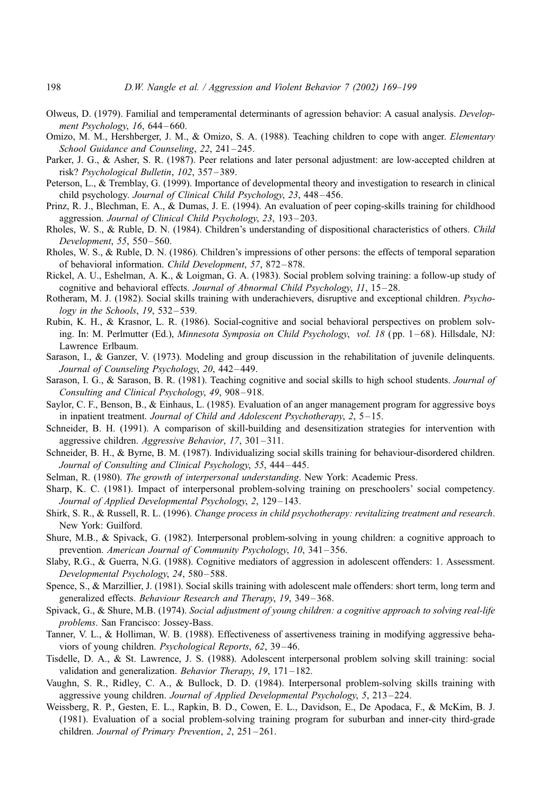- Olweus, D. (1979). Familial and temperamental determinants of agression behavior: A casual analysis. Development Psychology, 16, 644 – 660.
- Omizo, M. M., Hershberger, J. M., & Omizo, S. A. (1988). Teaching children to cope with anger. Elementary School Guidance and Counseling, 22, 241-245.
- Parker, J. G., & Asher, S. R. (1987). Peer relations and later personal adjustment: are low-accepted children at risk? Psychological Bulletin, 102, 357 – 389.
- Peterson, L., & Tremblay, G. (1999). Importance of developmental theory and investigation to research in clinical child psychology. Journal of Clinical Child Psychology, 23, 448 – 456.
- Prinz, R. J., Blechman, E. A., & Dumas, J. E. (1994). An evaluation of peer coping-skills training for childhood aggression. Journal of Clinical Child Psychology, 23, 193 – 203.
- Rholes, W. S., & Ruble, D. N. (1984). Children's understanding of dispositional characteristics of others. Child Development, 55, 550 – 560.
- Rholes, W. S., & Ruble, D. N. (1986). Children's impressions of other persons: the effects of temporal separation of behavioral information. Child Development, 57, 872 – 878.
- Rickel, A. U., Eshelman, A. K., & Loigman, G. A. (1983). Social problem solving training: a follow-up study of cognitive and behavioral effects. Journal of Abnormal Child Psychology, 11, 15–28.
- Rotheram, M. J. (1982). Social skills training with underachievers, disruptive and exceptional children. Psychology in the Schools,  $19, 532 - 539$ .
- Rubin, K. H., & Krasnor, L. R. (1986). Social-cognitive and social behavioral perspectives on problem solving. In: M. Perlmutter (Ed.), *Minnesota Symposia on Child Psychology, vol. 18* (pp. 1–68). Hillsdale, NJ: Lawrence Erlbaum.
- Sarason, I., & Ganzer, V. (1973). Modeling and group discussion in the rehabilitation of juvenile delinquents. Journal of Counseling Psychology, 20, 442 – 449.
- Sarason, I. G., & Sarason, B. R. (1981). Teaching cognitive and social skills to high school students. Journal of Consulting and Clinical Psychology, 49, 908 – 918.
- Saylor, C. F., Benson, B., & Einhaus, L. (1985). Evaluation of an anger management program for aggressive boys in inpatient treatment. Journal of Child and Adolescent Psychotherapy, 2, 5-15.
- Schneider, B. H. (1991). A comparison of skill-building and desensitization strategies for intervention with aggressive children. Aggressive Behavior, 17, 301-311.
- Schneider, B. H., & Byrne, B. M. (1987). Individualizing social skills training for behaviour-disordered children. Journal of Consulting and Clinical Psychology, 55, 444 – 445.
- Selman, R. (1980). The growth of interpersonal understanding. New York: Academic Press.
- Sharp, K. C. (1981). Impact of interpersonal problem-solving training on preschoolers' social competency. Journal of Applied Developmental Psychology, 2, 129–143.
- Shirk, S. R., & Russell, R. L. (1996). Change process in child psychotherapy: revitalizing treatment and research. New York: Guilford.
- Shure, M.B., & Spivack, G. (1982). Interpersonal problem-solving in young children: a cognitive approach to prevention. American Journal of Community Psychology, 10, 341-356.
- Slaby, R.G., & Guerra, N.G. (1988). Cognitive mediators of aggression in adolescent offenders: 1. Assessment. Developmental Psychology, 24, 580-588.
- Spence, S., & Marzillier, J. (1981). Social skills training with adolescent male offenders: short term, long term and generalized effects. Behaviour Research and Therapy, 19, 349 – 368.
- Spivack, G., & Shure, M.B. (1974). Social adjustment of young children: a cognitive approach to solving real-life problems. San Francisco: Jossey-Bass.
- Tanner, V. L., & Holliman, W. B. (1988). Effectiveness of assertiveness training in modifying aggressive behaviors of young children. Psychological Reports, 62, 39 – 46.
- Tisdelle, D. A., & St. Lawrence, J. S. (1988). Adolescent interpersonal problem solving skill training: social validation and generalization. Behavior Therapy,  $19$ ,  $171-182$ .
- Vaughn, S. R., Ridley, C. A., & Bullock, D. D. (1984). Interpersonal problem-solving skills training with aggressive young children. Journal of Applied Developmental Psychology, 5, 213 – 224.
- Weissberg, R. P., Gesten, E. L., Rapkin, B. D., Cowen, E. L., Davidson, E., De Apodaca, F., & McKim, B. J. (1981). Evaluation of a social problem-solving training program for suburban and inner-city third-grade children. Journal of Primary Prevention, 2, 251-261.